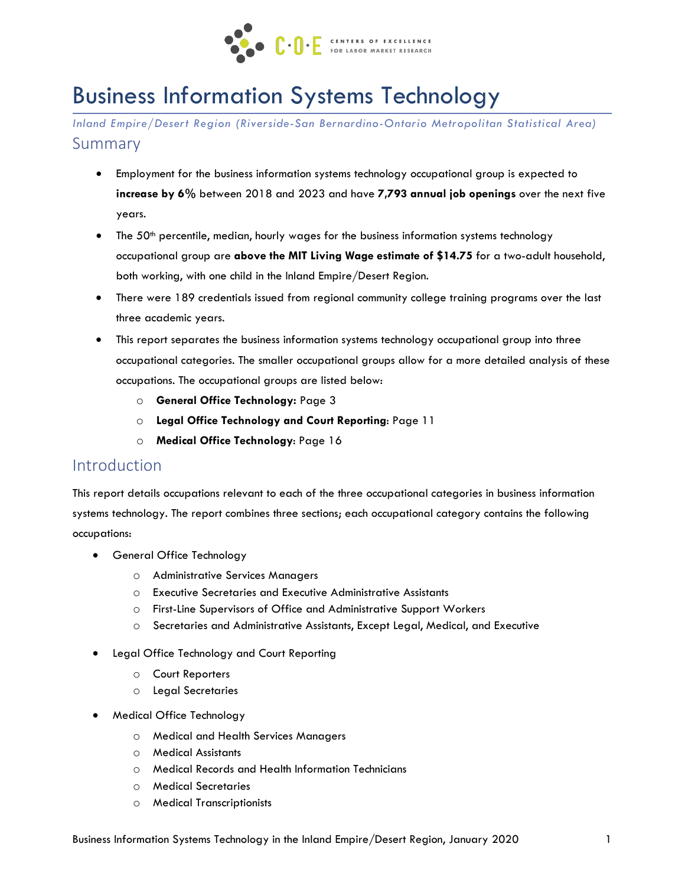

# Business Information Systems Technology

*Inland Empire/Desert Region (Riverside-San Bernardino-Ontario Metropolitan Statistical Area)* Summary

- Employment for the business information systems technology occupational group is expected to **increase by 6%** between 2018 and 2023 and have **7,793 annual job openings** over the next five years.
- The  $50<sup>th</sup>$  percentile, median, hourly wages for the business information systems technology occupational group are **above the MIT Living Wage estimate of \$14.75** for a two-adult household, both working, with one child in the Inland Empire/Desert Region.
- There were 189 credentials issued from regional community college training programs over the last three academic years.
- This report separates the business information systems technology occupational group into three occupational categories. The smaller occupational groups allow for a more detailed analysis of these occupations. The occupational groups are listed below:
	- o **General Office Technology:** Page 3
	- o **Legal Office Technology and Court Reporting**: Page 11
	- o **Medical Office Technology**: Page 16

### Introduction

This report details occupations relevant to each of the three occupational categories in business information systems technology. The report combines three sections; each occupational category contains the following occupations:

- General Office Technology
	- o Administrative Services Managers
	- o Executive Secretaries and Executive Administrative Assistants
	- o First-Line Supervisors of Office and Administrative Support Workers
	- o Secretaries and Administrative Assistants, Except Legal, Medical, and Executive
- Legal Office Technology and Court Reporting
	- o Court Reporters
	- o Legal Secretaries
- Medical Office Technology
	- o Medical and Health Services Managers
	- o Medical Assistants
	- o Medical Records and Health Information Technicians
	- o Medical Secretaries
	- o Medical Transcriptionists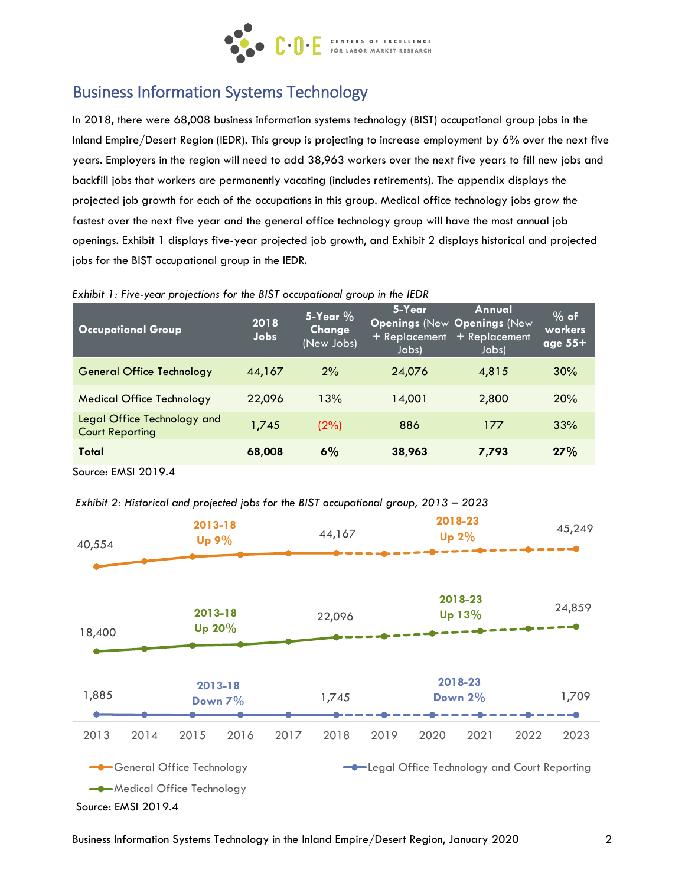

# Business Information Systems Technology

In 2018, there were 68,008 business information systems technology (BIST) occupational group jobs in the Inland Empire/Desert Region (IEDR). This group is projecting to increase employment by 6% over the next five years. Employers in the region will need to add 38,963 workers over the next five years to fill new jobs and backfill jobs that workers are permanently vacating (includes retirements). The appendix displays the projected job growth for each of the occupations in this group. Medical office technology jobs grow the fastest over the next five year and the general office technology group will have the most annual job openings. Exhibit 1 displays five-year projected job growth, and Exhibit 2 displays historical and projected jobs for the BIST occupational group in the IEDR.

| <b>Occupational Group</b>                             | 2018<br>Jobs | 5-Year $%$<br>Change<br>(New Jobs) | 5-Year<br>+ Replacement<br>Jobs) | Annual<br><b>Openings (New Openings (New</b><br>$+$ Replacement<br>Jobs) | $%$ of<br>workers<br>age $55+$ |
|-------------------------------------------------------|--------------|------------------------------------|----------------------------------|--------------------------------------------------------------------------|--------------------------------|
| <b>General Office Technology</b>                      | 44,167       | 2%                                 | 24,076                           | 4,815                                                                    | 30%                            |
| <b>Medical Office Technology</b>                      | 22,096       | 13%                                | 14,001                           | 2,800                                                                    | 20%                            |
| Legal Office Technology and<br><b>Court Reporting</b> | 1.745        | (2%)                               | 886                              | 177                                                                      | 33%                            |
| Total                                                 | 68,008       | 6%                                 | 38,963                           | 7,793                                                                    | 27%                            |

*Exhibit 1: Five-year projections for the BIST occupational group in the IEDR*



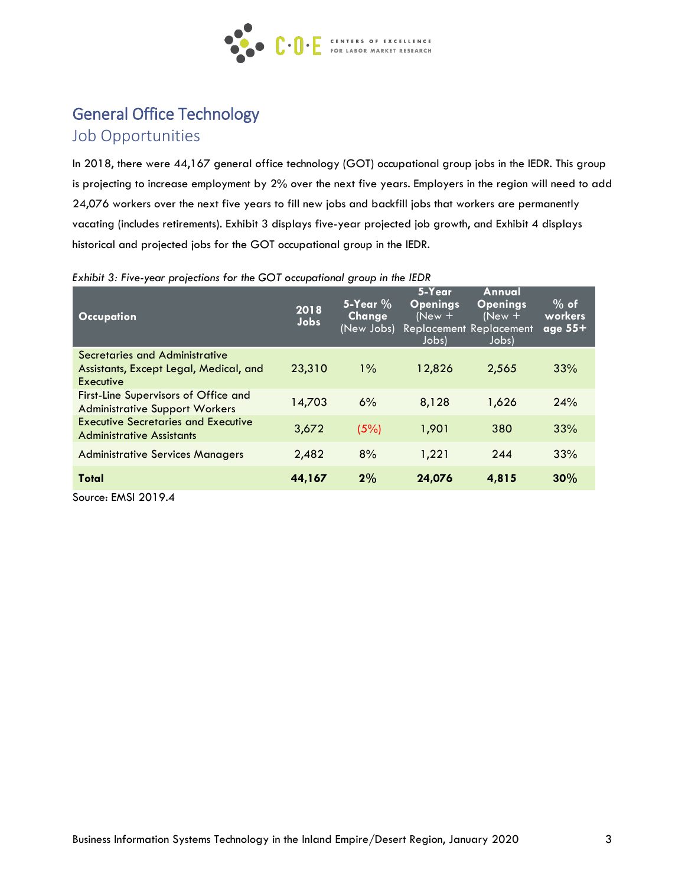

# General Office Technology

Job Opportunities

In 2018, there were 44,167 general office technology (GOT) occupational group jobs in the IEDR. This group is projecting to increase employment by 2% over the next five years. Employers in the region will need to add 24,076 workers over the next five years to fill new jobs and backfill jobs that workers are permanently vacating (includes retirements). Exhibit 3 displays five-year projected job growth, and Exhibit 4 displays historical and projected jobs for the GOT occupational group in the IEDR.

| <b>Occupation</b>                                                                     | 2018<br>Jobs | $5 - Y$ ear %<br><b>Change</b><br>(New Jobs) | 5-Year<br><b>Openings</b><br>$(New +$<br>Jobs) | Annual<br><b>Openings</b><br>$(New +$<br>Replacement Replacement<br>Jobs) | $\%$ of<br>workers<br>age $55+$ |
|---------------------------------------------------------------------------------------|--------------|----------------------------------------------|------------------------------------------------|---------------------------------------------------------------------------|---------------------------------|
| Secretaries and Administrative<br>Assistants, Except Legal, Medical, and<br>Executive | 23,310       | $1\%$                                        | 12,826                                         | 2,565                                                                     | 33%                             |
| First-Line Supervisors of Office and<br><b>Administrative Support Workers</b>         | 14,703       | 6%                                           | 8,128                                          | 1,626                                                                     | 24%                             |
| <b>Executive Secretaries and Executive</b><br><b>Administrative Assistants</b>        | 3,672        | (5%)                                         | 1,901                                          | 380                                                                       | 33%                             |
| <b>Administrative Services Managers</b>                                               | 2,482        | 8%                                           | 1,221                                          | 244                                                                       | 33%                             |
| Total                                                                                 | 44,167       | 2%                                           | 24,076                                         | 4,815                                                                     | 30%                             |

*Exhibit 3: Five-year projections for the GOT occupational group in the IEDR*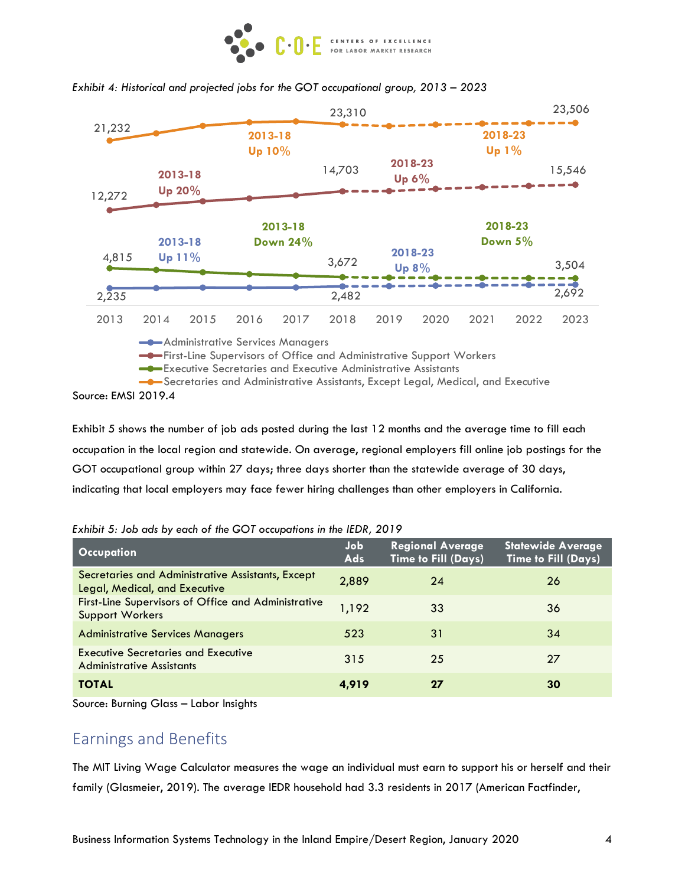



#### *Exhibit 4: Historical and projected jobs for the GOT occupational group, 2013 – 2023*

Source: EMSI 2019.4

Exhibit 5 shows the number of job ads posted during the last 12 months and the average time to fill each occupation in the local region and statewide. On average, regional employers fill online job postings for the GOT occupational group within 27 days; three days shorter than the statewide average of 30 days, indicating that local employers may face fewer hiring challenges than other employers in California.

| <b>Occupation</b>                                                                  | Job<br>Ads | <b>Regional Average</b><br><b>Time to Fill (Days)</b> | <b>Statewide Average</b><br><b>Time to Fill (Days)</b> |
|------------------------------------------------------------------------------------|------------|-------------------------------------------------------|--------------------------------------------------------|
| Secretaries and Administrative Assistants, Except<br>Legal, Medical, and Executive | 2,889      | 24                                                    | 26                                                     |
| First-Line Supervisors of Office and Administrative<br><b>Support Workers</b>      | 1,192      | 33                                                    | 36                                                     |
| <b>Administrative Services Managers</b>                                            | 523        | 31                                                    | 34                                                     |
| <b>Executive Secretaries and Executive</b><br><b>Administrative Assistants</b>     | 315        | 25                                                    | 27                                                     |
| <b>TOTAL</b>                                                                       | 4.919      | 27                                                    | 30                                                     |

*Exhibit 5: Job ads by each of the GOT occupations in the IEDR, 2019*

Source: Burning Glass – Labor Insights

### Earnings and Benefits

The MIT Living Wage Calculator measures the wage an individual must earn to support his or herself and their family (Glasmeier, 2019). The average IEDR household had 3.3 residents in 2017 (American Factfinder,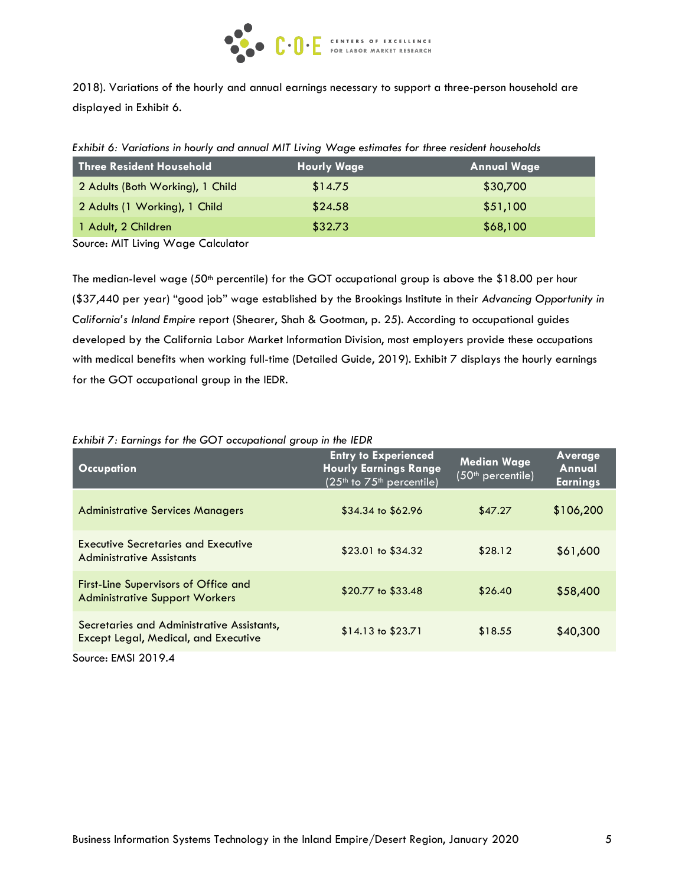

2018). Variations of the hourly and annual earnings necessary to support a three-person household are displayed in Exhibit 6.

| Exhibit 6: Variations in hourly and annual MIT Living Wage estimates for three resident households |  |  |  |  |  |
|----------------------------------------------------------------------------------------------------|--|--|--|--|--|
|----------------------------------------------------------------------------------------------------|--|--|--|--|--|

| Three Resident Household         | <b>Hourly Wage</b> | <b>Annual Wage</b> |
|----------------------------------|--------------------|--------------------|
| 2 Adults (Both Working), 1 Child | \$14.75            | \$30,700           |
| 2 Adults (1 Working), 1 Child    | \$24.58            | \$51,100           |
| 1 Adult, 2 Children              | \$32.73            | \$68,100           |

Source: MIT Living Wage Calculator

The median-level wage (50<sup>th</sup> percentile) for the GOT occupational group is above the \$18.00 per hour (\$37,440 per year) "good job" wage established by the Brookings Institute in their *Advancing Opportunity in California's Inland Empire* report (Shearer, Shah & Gootman, p. 25). According to occupational guides developed by the California Labor Market Information Division, most employers provide these occupations with medical benefits when working full-time (Detailed Guide, 2019). Exhibit 7 displays the hourly earnings for the GOT occupational group in the IEDR.

#### *Exhibit 7: Earnings for the GOT occupational group in the IEDR*

| <b>Occupation</b>                                                                         | <b>Entry to Experienced</b><br><b>Hourly Earnings Range</b><br>$(25th$ to $75th$ percentile) | <b>Median Wage</b><br>(50 <sup>th</sup> percentile) | Average<br>Annual<br><b>Earnings</b> |
|-------------------------------------------------------------------------------------------|----------------------------------------------------------------------------------------------|-----------------------------------------------------|--------------------------------------|
| <b>Administrative Services Managers</b>                                                   | $$34.34$ to $$62.96$                                                                         | \$47.27                                             | \$106,200                            |
| <b>Executive Secretaries and Executive</b><br><b>Administrative Assistants</b>            | $$23.01$ to $$34.32$                                                                         | \$28.12                                             | \$61,600                             |
| <b>First-Line Supervisors of Office and</b><br><b>Administrative Support Workers</b>      | \$20.77 to \$33.48                                                                           | \$26.40                                             | \$58,400                             |
| Secretaries and Administrative Assistants,<br><b>Except Legal, Medical, and Executive</b> | $$14.13$ to $$23.71$                                                                         | \$18.55                                             | \$40,300                             |
| Source: EMSI 2019.4                                                                       |                                                                                              |                                                     |                                      |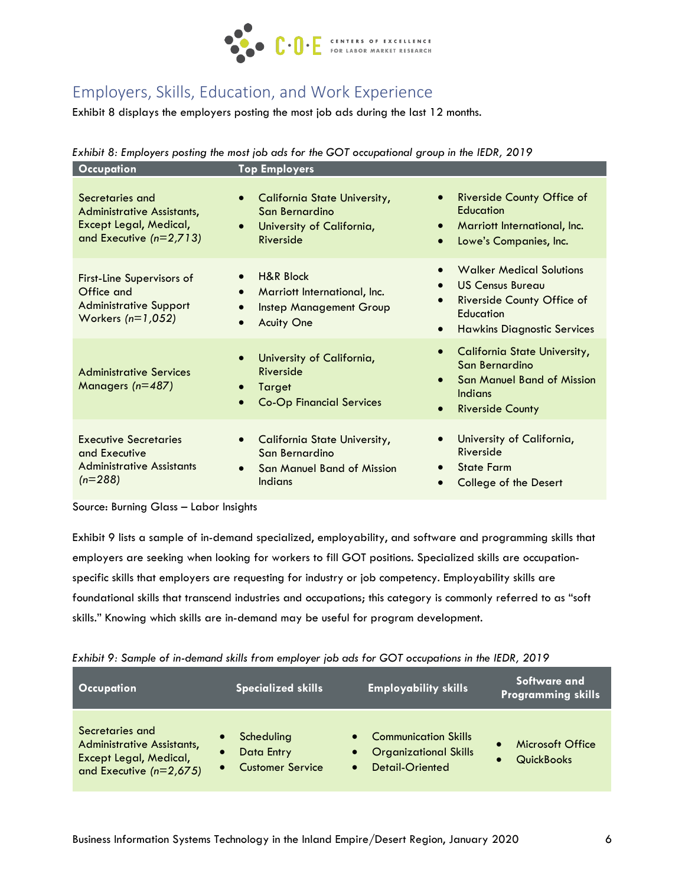

# Employers, Skills, Education, and Work Experience

Exhibit 8 displays the employers posting the most job ads during the last 12 months.

|  |  | Exhibit 8: Employers posting the most job ads for the GOT occupational group in the IEDR, 2019 |
|--|--|------------------------------------------------------------------------------------------------|
|--|--|------------------------------------------------------------------------------------------------|

| Occupation                                                                                             | <b>Top Employers</b>                                                                                                      |                                                                                                                                                                                    |
|--------------------------------------------------------------------------------------------------------|---------------------------------------------------------------------------------------------------------------------------|------------------------------------------------------------------------------------------------------------------------------------------------------------------------------------|
| Secretaries and<br>Administrative Assistants,<br>Except Legal, Medical,<br>and Executive $(n=2,713)$   | <b>California State University,</b><br>$\bullet$<br>San Bernardino<br>University of California,<br>$\bullet$<br>Riverside | Riverside County Office of<br>$\bullet$<br>Education<br>Marriott International, Inc.<br>$\bullet$<br>Lowe's Companies, Inc.<br>$\bullet$                                           |
| <b>First-Line Supervisors of</b><br>Office and<br><b>Administrative Support</b><br>Workers $(n=1,052)$ | <b>H&amp;R Block</b><br>Marriott International, Inc.<br>$\bullet$<br><b>Instep Management Group</b><br><b>Aculty One</b>  | <b>Walker Medical Solutions</b><br><b>US Census Bureau</b><br>$\bullet$<br>Riverside County Office of<br>$\bullet$<br>Education<br><b>Hawkins Diagnostic Services</b><br>$\bullet$ |
| <b>Administrative Services</b><br>Managers $(n=487)$                                                   | University of California,<br>Riverside<br>Target<br><b>Co-Op Financial Services</b>                                       | <b>California State University,</b><br>$\bullet$<br>San Bernardino<br><b>San Manuel Band of Mission</b><br>$\bullet$<br><b>Indians</b><br><b>Riverside County</b><br>$\bullet$     |
| <b>Executive Secretaries</b><br>and Executive<br><b>Administrative Assistants</b><br>$(n=288)$         | California State University,<br>San Bernardino<br><b>San Manuel Band of Mission</b><br><b>Indians</b>                     | University of California,<br>Riverside<br><b>State Farm</b><br>$\bullet$<br><b>College of the Desert</b>                                                                           |

Source: Burning Glass – Labor Insights

Exhibit 9 lists a sample of in-demand specialized, employability, and software and programming skills that employers are seeking when looking for workers to fill GOT positions. Specialized skills are occupationspecific skills that employers are requesting for industry or job competency. Employability skills are foundational skills that transcend industries and occupations; this category is commonly referred to as "soft skills." Knowing which skills are in-demand may be useful for program development.

|                                                                                                                                       | Extraordinate of the domaind skind it one chiptoyer job due for $\bullet \bullet \bullet$ , occopanons in the repair $\bullet \bullet \bullet$ |                                                                                                                       |                                              |  |  |  |
|---------------------------------------------------------------------------------------------------------------------------------------|------------------------------------------------------------------------------------------------------------------------------------------------|-----------------------------------------------------------------------------------------------------------------------|----------------------------------------------|--|--|--|
| <b>Occupation</b>                                                                                                                     | <b>Specialized skills</b>                                                                                                                      | <b>Employability skills</b>                                                                                           | Software and<br><b>Programming skills</b>    |  |  |  |
| Secretaries and<br><b>Administrative Assistants,</b><br>$\bullet$<br>Except Legal, Medical,<br>$\bullet$<br>and Executive $(n=2,675)$ | Scheduling<br>Data Entry<br><b>Customer Service</b>                                                                                            | <b>Communication Skills</b><br>$\bullet$<br><b>Organizational Skills</b><br>$\bullet$<br>Detail-Oriented<br>$\bullet$ | <b>Microsoft Office</b><br><b>QuickBooks</b> |  |  |  |

| Exhibit 9: Sample of in-demand skills from employer job ads for GOT occupations in the IEDR, 2019 |  |  |
|---------------------------------------------------------------------------------------------------|--|--|
|                                                                                                   |  |  |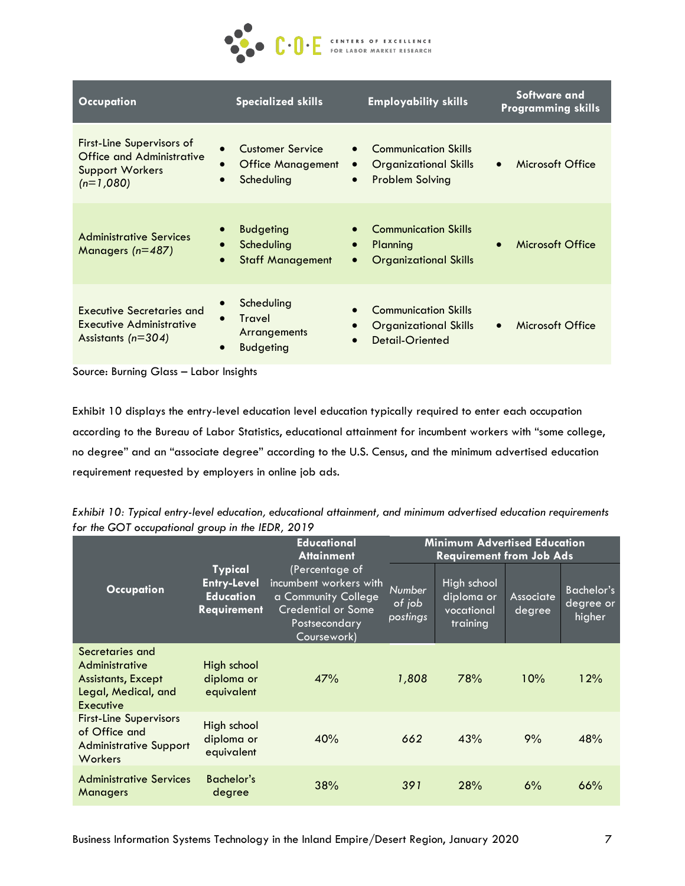

| <b>Occupation</b>                                                                                      | <b>Specialized skills</b>                                                                 | <b>Employability skills</b>                                                                                     | Software and<br><b>Programming skills</b> |
|--------------------------------------------------------------------------------------------------------|-------------------------------------------------------------------------------------------|-----------------------------------------------------------------------------------------------------------------|-------------------------------------------|
| <b>First-Line Supervisors of</b><br>Office and Administrative<br><b>Support Workers</b><br>$(n=1,080)$ | <b>Customer Service</b><br>$\bullet$<br><b>Office Management</b><br>Scheduling            | <b>Communication Skills</b><br><b>Organizational Skills</b><br>$\bullet$<br><b>Problem Solving</b><br>$\bullet$ | Microsoft Office<br>$\bullet$             |
| <b>Administrative Services</b><br>Managers $(n=487)$                                                   | <b>Budgeting</b><br>Scheduling<br>$\bullet$<br><b>Staff Management</b><br>$\bullet$       | <b>Communication Skills</b><br>Planning<br>$\bullet$<br><b>Organizational Skills</b><br>$\bullet$               | Microsoft Office                          |
| Executive Secretaries and<br>Executive Administrative<br>Assistants ( $n=304$ )                        | Scheduling<br><b>Travel</b><br>$\bullet$<br>Arrangements<br><b>Budgeting</b><br>$\bullet$ | <b>Communication Skills</b><br><b>Organizational Skills</b><br><b>Detail-Oriented</b><br>$\bullet$              | Microsoft Office<br>$\bullet$             |

Source: Burning Glass – Labor Insights

Exhibit 10 displays the entry-level education level education typically required to enter each occupation according to the Bureau of Labor Statistics, educational attainment for incumbent workers with "some college, no degree" and an "associate degree" according to the U.S. Census, and the minimum advertised education requirement requested by employers in online job ads.

| Exhibit 10: Typical entry-level education, educational attainment, and minimum advertised education requirements |  |
|------------------------------------------------------------------------------------------------------------------|--|
| for the GOT occupational group in the IEDR, 2019                                                                 |  |

|                                                                                                    |                                                                                | <b>Educational</b>                                                                                                                                | <b>Minimum Advertised Education</b><br><b>Requirement from Job Ads</b> |                                                     |                            |                                          |
|----------------------------------------------------------------------------------------------------|--------------------------------------------------------------------------------|---------------------------------------------------------------------------------------------------------------------------------------------------|------------------------------------------------------------------------|-----------------------------------------------------|----------------------------|------------------------------------------|
| <b>Occupation</b>                                                                                  | <b>Typical</b><br><b>Entry-Level</b><br><b>Education</b><br><b>Requirement</b> | <b>Attainment</b><br>(Percentage of<br>incumbent workers with<br>a Community College<br><b>Credential or Some</b><br>Postsecondary<br>Coursework) | Number<br>of job<br>postings                                           | High school<br>diploma or<br>vocational<br>training | <b>Associate</b><br>degree | <b>Bachelor's</b><br>degree or<br>higher |
| Secretaries and<br>Administrative<br><b>Assistants, Except</b><br>Legal, Medical, and<br>Executive | High school<br>diploma or<br>equivalent                                        | 47%                                                                                                                                               | 1,808                                                                  | 78%                                                 | 10%                        | 12%                                      |
| <b>First-Line Supervisors</b><br>of Office and<br><b>Administrative Support</b><br>Workers         | High school<br>diploma or<br>equivalent                                        | 40%                                                                                                                                               | 662                                                                    | 43%                                                 | 9%                         | 48%                                      |
| <b>Administrative Services</b><br><b>Managers</b>                                                  | Bachelor's<br>degree                                                           | 38%                                                                                                                                               | 391                                                                    | 28%                                                 | 6%                         | 66%                                      |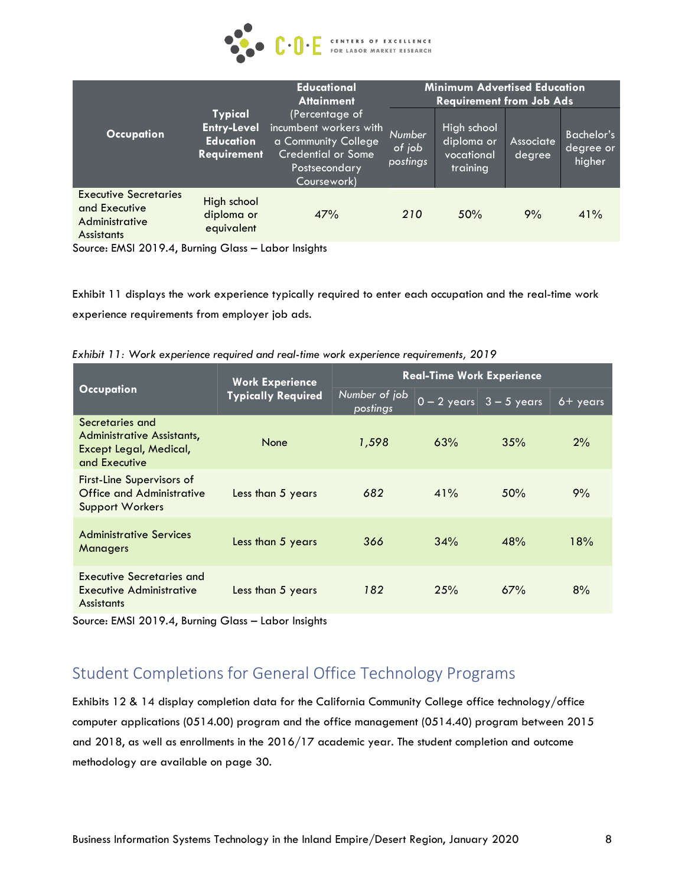

|                                                                                      |                                                                                                                                                                                                         | <b>Educational</b><br><b>Attainment</b> |                              | <b>Minimum Advertised Education</b><br><b>Requirement from Job Ads</b> |                     |                                          |
|--------------------------------------------------------------------------------------|---------------------------------------------------------------------------------------------------------------------------------------------------------------------------------------------------------|-----------------------------------------|------------------------------|------------------------------------------------------------------------|---------------------|------------------------------------------|
| <b>Occupation</b>                                                                    | <b>Typical</b><br>(Percentage of<br>incumbent workers with<br><b>Entry-Level</b><br><b>Education</b><br>a Community College<br><b>Credential or Some</b><br>Requirement<br>Postsecondary<br>Coursework) |                                         | Number<br>of job<br>postings | High school<br>diploma or<br>vocational<br>training                    | Associate<br>degree | <b>Bachelor's</b><br>degree or<br>higher |
| <b>Executive Secretaries</b><br>and Executive<br>Administrative<br><b>Assistants</b> | High school<br>diploma or<br>equivalent                                                                                                                                                                 | 47%                                     | 210                          | 50%                                                                    | 9%                  | 41%                                      |

Source: EMSI 2019.4, Burning Glass – Labor Insights

Exhibit 11 displays the work experience typically required to enter each occupation and the real-time work experience requirements from employer job ads.

*Exhibit 11: Work experience required and real-time work experience requirements, 2019*

|                                                                                          | <b>Work Experience</b>    |                           | <b>Real-Time Work Experience</b>           |             |     |  |  |
|------------------------------------------------------------------------------------------|---------------------------|---------------------------|--------------------------------------------|-------------|-----|--|--|
| <b>Occupation</b>                                                                        | <b>Typically Required</b> | Number of job<br>postings | $\overline{0-2 \text{ years}}$ 3 - 5 years | $6 +$ years |     |  |  |
| Secretaries and<br>Administrative Assistants,<br>Except Legal, Medical,<br>and Executive | None                      | 1,598                     | 63%                                        | 35%         | 2%  |  |  |
| <b>First-Line Supervisors of</b><br>Office and Administrative<br><b>Support Workers</b>  | Less than 5 years         | 682                       | 41%                                        | 50%         | 9%  |  |  |
| <b>Administrative Services</b><br><b>Managers</b>                                        | Less than 5 years         | 366                       | 34%                                        | 48%         | 18% |  |  |
| Executive Secretaries and<br><b>Executive Administrative</b><br><b>Assistants</b>        | Less than 5 years         | 182                       | 25%                                        | 67%         | 8%  |  |  |

Source: EMSI 2019.4, Burning Glass – Labor Insights

# Student Completions for General Office Technology Programs

Exhibits 12 & 14 display completion data for the California Community College office technology/office computer applications (0514.00) program and the office management (0514.40) program between 2015 and 2018, as well as enrollments in the 2016/17 academic year. The student completion and outcome methodology are available on page 30.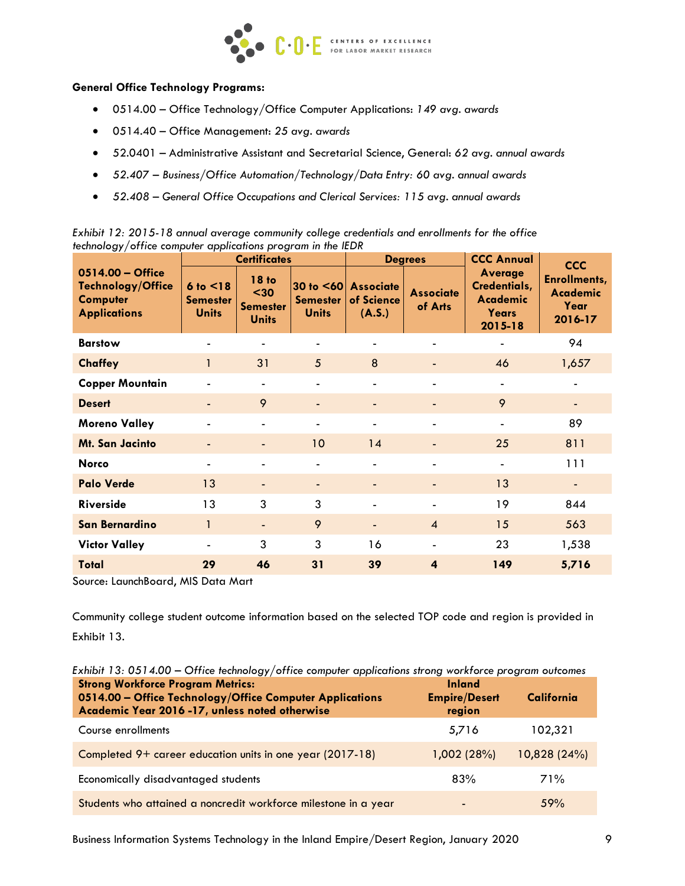

#### **General Office Technology Programs:**

- 0514.00 Office Technology/Office Computer Applications: *149 avg. awards*
- 0514.40 Office Management: *25 avg. awards*
- 52.0401 Administrative Assistant and Secretarial Science, General: *62 avg. annual awards*
- *52.407 – Business/Office Automation/Technology/Data Entry: 60 avg. annual awards*
- *52.408 – General Office Occupations and Clerical Services: 115 avg. annual awards*

|                                                                                 | . .                                                 | <b>Certificates</b>                                     |                                                 |                                          | <b>Degrees</b>              | <b>CCC Annual</b>                                                  | <b>CCC</b>                                                |
|---------------------------------------------------------------------------------|-----------------------------------------------------|---------------------------------------------------------|-------------------------------------------------|------------------------------------------|-----------------------------|--------------------------------------------------------------------|-----------------------------------------------------------|
| 0514.00 - Office<br>Technology/Office<br><b>Computer</b><br><b>Applications</b> | $6$ to $\leq$ 18<br><b>Semester</b><br><b>Units</b> | <b>18 to</b><br>$30$<br><b>Semester</b><br><b>Units</b> | 30 to $< 60$<br><b>Semester</b><br><b>Units</b> | <b>Associate</b><br>of Science<br>(A.S.) | <b>Associate</b><br>of Arts | <b>Average</b><br>Credentials,<br>Academic<br>Years<br>$2015 - 18$ | <b>Enrollments,</b><br><b>Academic</b><br>Year<br>2016-17 |
| <b>Barstow</b>                                                                  |                                                     |                                                         |                                                 |                                          |                             |                                                                    | 94                                                        |
| <b>Chaffey</b>                                                                  | 1                                                   | 31                                                      | 5                                               | 8                                        | ٠                           | 46                                                                 | 1,657                                                     |
| <b>Copper Mountain</b>                                                          |                                                     | $\overline{\phantom{a}}$                                |                                                 |                                          | $\overline{\phantom{a}}$    |                                                                    |                                                           |
| <b>Desert</b>                                                                   |                                                     | 9                                                       | ٠                                               |                                          | ٠                           | 9                                                                  |                                                           |
| <b>Moreno Valley</b>                                                            |                                                     | $\blacksquare$                                          | $\blacksquare$                                  |                                          | $\overline{\phantom{a}}$    |                                                                    | 89                                                        |
| Mt. San Jacinto                                                                 |                                                     | $\overline{\phantom{a}}$                                | 10                                              | 14                                       | ٠                           | 25                                                                 | 811                                                       |
| <b>Norco</b>                                                                    |                                                     | $\qquad \qquad \blacksquare$                            |                                                 |                                          | ٠                           |                                                                    | 111                                                       |
| <b>Palo Verde</b>                                                               | 13                                                  |                                                         | ٠                                               |                                          | ٠                           | 13                                                                 |                                                           |
| <b>Riverside</b>                                                                | 13                                                  | 3                                                       | 3                                               |                                          | $\overline{\phantom{a}}$    | 19                                                                 | 844                                                       |
| San Bernardino                                                                  | 1                                                   | $\overline{\phantom{0}}$                                | 9                                               |                                          | $\overline{A}$              | 15                                                                 | 563                                                       |
| <b>Victor Valley</b>                                                            |                                                     | 3                                                       | 3                                               | 16                                       | ٠                           | 23                                                                 | 1,538                                                     |
| Total                                                                           | 29                                                  | 46                                                      | 31                                              | 39                                       | $\overline{\mathbf{4}}$     | 149                                                                | 5,716                                                     |

*Exhibit 12: 2015-18 annual average community college credentials and enrollments for the office technology/office computer applications program in the IEDR*

Source: LaunchBoard, MIS Data Mart

Community college student outcome information based on the selected TOP code and region is provided in Exhibit 13.

| Exhibit 13: 0514.00 – Office technology/office computer applications strong workforce program outcomes                                                |                                                 |              |  |  |  |
|-------------------------------------------------------------------------------------------------------------------------------------------------------|-------------------------------------------------|--------------|--|--|--|
| <b>Strong Workforce Program Metrics:</b><br>0514.00 - Office Technology/Office Computer Applications<br>Academic Year 2016-17, unless noted otherwise | <b>Inland</b><br><b>Empire/Desert</b><br>region | California   |  |  |  |
| Course enrollments                                                                                                                                    | 5,716                                           | 102,321      |  |  |  |
| Completed 9+ career education units in one year (2017-18)                                                                                             | 1,002 (28%)                                     | 10,828 (24%) |  |  |  |
| Economically disadvantaged students                                                                                                                   | 83%                                             | 71%          |  |  |  |
| Students who attained a noncredit workforce milestone in a year                                                                                       |                                                 | 59%          |  |  |  |

Business Information Systems Technology in the Inland Empire/Desert Region, January 2020 9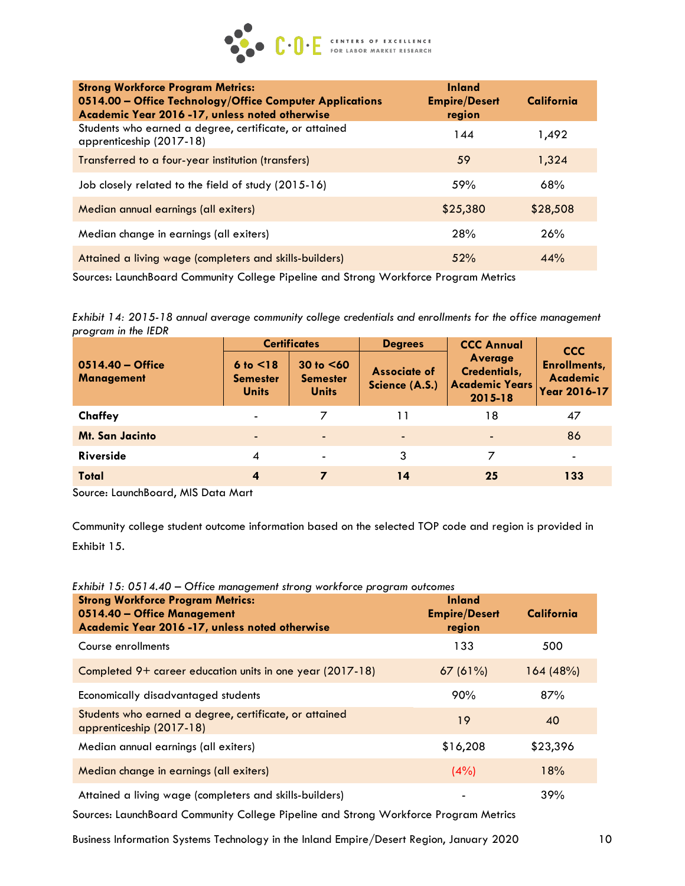

| <b>Strong Workforce Program Metrics:</b><br>0514.00 - Office Technology/Office Computer Applications<br>Academic Year 2016 -17, unless noted otherwise | <b>Inland</b><br><b>Empire/Desert</b><br>region | California |
|--------------------------------------------------------------------------------------------------------------------------------------------------------|-------------------------------------------------|------------|
| Students who earned a degree, certificate, or attained<br>apprenticeship (2017-18)                                                                     | 144                                             | 1,492      |
| Transferred to a four-year institution (transfers)                                                                                                     | 59                                              | 1,324      |
| Job closely related to the field of study (2015-16)                                                                                                    | 59%                                             | 68%        |
| Median annual earnings (all exiters)                                                                                                                   | \$25,380                                        | \$28,508   |
| Median change in earnings (all exiters)                                                                                                                | 28%                                             | 26%        |
| Attained a living wage (completers and skills-builders)                                                                                                | 52%                                             | 44%        |

Sources: LaunchBoard Community College Pipeline and Strong Workforce Program Metrics

*Exhibit 14: 2015-18 annual average community college credentials and enrollments for the office management program in the IEDR*

|                                         |                                              | <b>Certificates</b>                             | <b>Degrees</b>                        | <b>CCC Annual</b>                                                  | <b>CCC</b>                                             |
|-----------------------------------------|----------------------------------------------|-------------------------------------------------|---------------------------------------|--------------------------------------------------------------------|--------------------------------------------------------|
| $0514.40 -$ Office<br><b>Management</b> | 6 to < 18<br><b>Semester</b><br><b>Units</b> | 30 to $< 60$<br><b>Semester</b><br><b>Units</b> | <b>Associate of</b><br>Science (A.S.) | <b>Average</b><br>Credentials,<br><b>Academic Years</b><br>2015-18 | <b>Enrollments,</b><br><b>Academic</b><br>Year 2016-17 |
| Chaffey                                 | $\blacksquare$                               |                                                 | 11                                    | 18                                                                 | 47                                                     |
| <b>Mt. San Jacinto</b>                  | $\blacksquare$                               |                                                 | $\overline{\phantom{a}}$              | $\overline{\phantom{0}}$                                           | 86                                                     |
| Riverside                               | 4                                            | $\blacksquare$                                  | 3                                     | 7                                                                  | $\blacksquare$                                         |
| Total                                   | 4                                            | 7                                               | 14                                    | 25                                                                 | 133                                                    |

Source: LaunchBoard, MIS Data Mart

Community college student outcome information based on the selected TOP code and region is provided in Exhibit 15.

| <b>Strong Workforce Program Metrics:</b><br>0514.40 - Office Management<br>Academic Year 2016-17, unless noted otherwise | <b>Inland</b><br><b>Empire/Desert</b><br>region | California |
|--------------------------------------------------------------------------------------------------------------------------|-------------------------------------------------|------------|
| Course enrollments                                                                                                       | 133                                             | 500        |
| Completed 9+ career education units in one year (2017-18)                                                                | 67(61%)                                         | 164(48%)   |
| Economically disadvantaged students                                                                                      | 90%                                             | 87%        |
| Students who earned a degree, certificate, or attained<br>apprenticeship (2017-18)                                       | 19                                              | 40         |
| Median annual earnings (all exiters)                                                                                     | \$16,208                                        | \$23,396   |
| Median change in earnings (all exiters)                                                                                  | (4% )                                           | 18%        |
| Attained a living wage (completers and skills-builders)                                                                  |                                                 | 39%        |

*Exhibit 15: 0514.40 – Office management strong workforce program outcomes*

Sources: LaunchBoard Community College Pipeline and Strong Workforce Program Metrics

Business Information Systems Technology in the Inland Empire/Desert Region, January 2020 10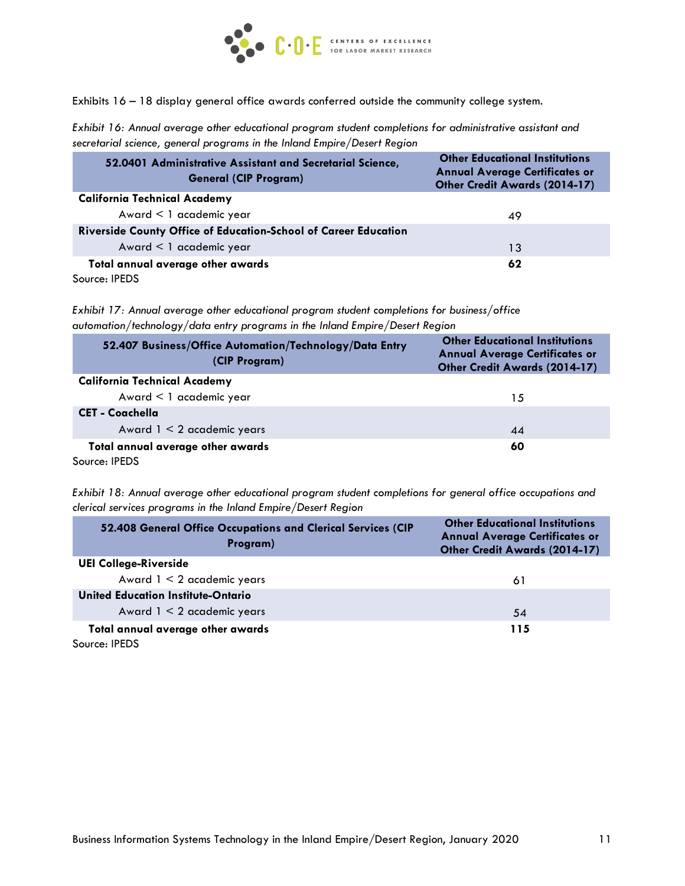

Exhibits 16 – 18 display general office awards conferred outside the community college system.

*Exhibit 16: Annual average other educational program student completions for administrative assistant and secretarial science, general programs in the Inland Empire/Desert Region*

| 52.0401 Administrative Assistant and Secretarial Science,<br><b>General (CIP Program)</b> | <b>Other Educational Institutions</b><br><b>Annual Average Certificates or</b><br>Other Credit Awards (2014-17) |
|-------------------------------------------------------------------------------------------|-----------------------------------------------------------------------------------------------------------------|
| <b>California Technical Academy</b>                                                       |                                                                                                                 |
| Award $\leq 1$ academic year                                                              | 49                                                                                                              |
| Riverside County Office of Education-School of Career Education                           |                                                                                                                 |
| Award $\leq 1$ academic year                                                              | 13                                                                                                              |
| Total annual average other awards                                                         | 62                                                                                                              |
| Source: IPEDS                                                                             |                                                                                                                 |

*Exhibit 17: Annual average other educational program student completions for business/office automation/technology/data entry programs in the Inland Empire/Desert Region*

| 52.407 Business/Office Automation/Technology/Data Entry<br>(CIP Program) | <b>Other Educational Institutions</b><br><b>Annual Average Certificates or</b><br><b>Other Credit Awards (2014-17)</b> |
|--------------------------------------------------------------------------|------------------------------------------------------------------------------------------------------------------------|
| <b>California Technical Academy</b>                                      |                                                                                                                        |
| Award $\leq 1$ academic year                                             | 15                                                                                                                     |
| <b>CET - Coachella</b>                                                   |                                                                                                                        |
| Award $1 < 2$ academic years                                             | 44                                                                                                                     |
| Total annual average other awards<br>Source: IPEDS                       | 60                                                                                                                     |

*Exhibit 18: Annual average other educational program student completions for general office occupations and clerical services programs in the Inland Empire/Desert Region*

| 52.408 General Office Occupations and Clerical Services (CIP<br>Program) | <b>Other Educational Institutions</b><br><b>Annual Average Certificates or</b><br><b>Other Credit Awards (2014-17)</b> |
|--------------------------------------------------------------------------|------------------------------------------------------------------------------------------------------------------------|
| <b>UEI College-Riverside</b>                                             |                                                                                                                        |
| Award $1 < 2$ academic years                                             | 61                                                                                                                     |
| United Education Institute-Ontario                                       |                                                                                                                        |
| Award $1 < 2$ academic years                                             | 54                                                                                                                     |
| Total annual average other awards                                        | 115                                                                                                                    |
| Source: IPEDS                                                            |                                                                                                                        |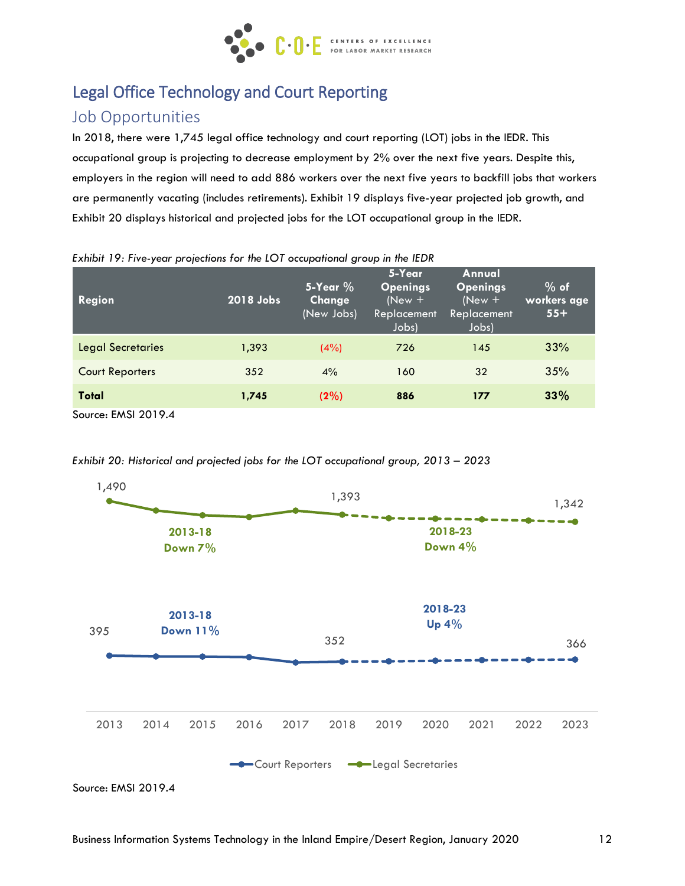

# Legal Office Technology and Court Reporting

# Job Opportunities

In 2018, there were 1,745 legal office technology and court reporting (LOT) jobs in the IEDR. This occupational group is projecting to decrease employment by 2% over the next five years. Despite this, employers in the region will need to add 886 workers over the next five years to backfill jobs that workers are permanently vacating (includes retirements). Exhibit 19 displays five-year projected job growth, and Exhibit 20 displays historical and projected jobs for the LOT occupational group in the IEDR.

| Region                   | 2018 Jobs | 5-Year $%$<br>Change<br>(New Jobs) | 5-Year<br><b>Openings</b><br>$(New +$<br>Replacement<br>Jobs) | Annual<br><b>Openings</b><br>$(New +$<br>Replacement<br>Jobs) | $%$ of<br>workers age<br>$55+$ |
|--------------------------|-----------|------------------------------------|---------------------------------------------------------------|---------------------------------------------------------------|--------------------------------|
| <b>Legal Secretaries</b> | 1,393     | (4%)                               | 726                                                           | 145                                                           | 33%                            |
| <b>Court Reporters</b>   | 352       | 4%                                 | 160                                                           | 32                                                            | 35%                            |
| Total                    | 1,745     | (2%)                               | 886                                                           | 177                                                           | 33%                            |

*Exhibit 19: Five-year projections for the LOT occupational group in the IEDR*

Source: EMSI 2019.4



*Exhibit 20: Historical and projected jobs for the LOT occupational group, 2013 – 2023*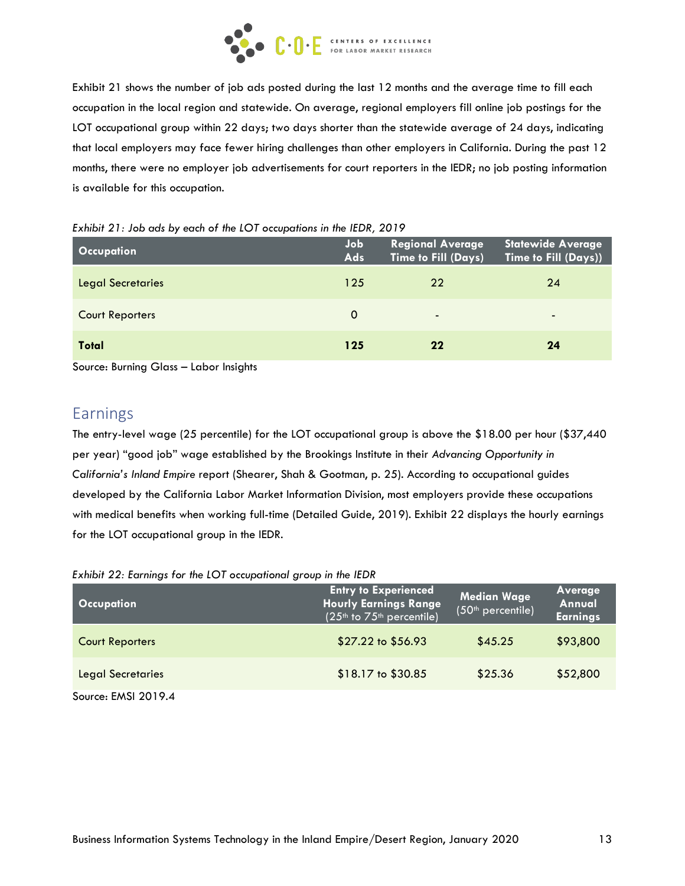

Exhibit 21 shows the number of job ads posted during the last 12 months and the average time to fill each occupation in the local region and statewide. On average, regional employers fill online job postings for the LOT occupational group within 22 days; two days shorter than the statewide average of 24 days, indicating that local employers may face fewer hiring challenges than other employers in California. During the past 12 months, there were no employer job advertisements for court reporters in the IEDR; no job posting information is available for this occupation.

| <b>Occupation</b>        | Job<br><b>Ads</b> | <b>Regional Average</b><br>Time to Fill (Days) | <b>Statewide Average</b><br>Time to Fill (Days)) |
|--------------------------|-------------------|------------------------------------------------|--------------------------------------------------|
| <b>Legal Secretaries</b> | 125               | 22                                             | 24                                               |
| <b>Court Reporters</b>   | 0                 | $\overline{\phantom{a}}$                       | $\overline{\phantom{0}}$                         |
| Total                    | 125               | 22                                             | 24                                               |

*Exhibit 21: Job ads by each of the LOT occupations in the IEDR, 2019*

Source: Burning Glass – Labor Insights

### Earnings

The entry-level wage (25 percentile) for the LOT occupational group is above the \$18.00 per hour (\$37,440 per year) "good job" wage established by the Brookings Institute in their *Advancing Opportunity in California's Inland Empire* report (Shearer, Shah & Gootman, p. 25). According to occupational guides developed by the California Labor Market Information Division, most employers provide these occupations with medical benefits when working full-time (Detailed Guide, 2019). Exhibit 22 displays the hourly earnings for the LOT occupational group in the IEDR.

| <b>Occupation</b>      | <b>Entry to Experienced</b><br><b>Hourly Earnings Range</b><br>(25 <sup>th</sup> to 75 <sup>th</sup> percentile) | Median Wage<br>(50 <sup>th</sup> percentile) | Average<br>Annual<br><b>Earnings</b> |
|------------------------|------------------------------------------------------------------------------------------------------------------|----------------------------------------------|--------------------------------------|
| <b>Court Reporters</b> | \$27.22 to \$56.93                                                                                               | \$45.25                                      | \$93,800                             |
| Legal Secretaries      | \$18.17 to \$30.85                                                                                               | \$25.36                                      | \$52,800                             |
| Source: EMSI 2019.4    |                                                                                                                  |                                              |                                      |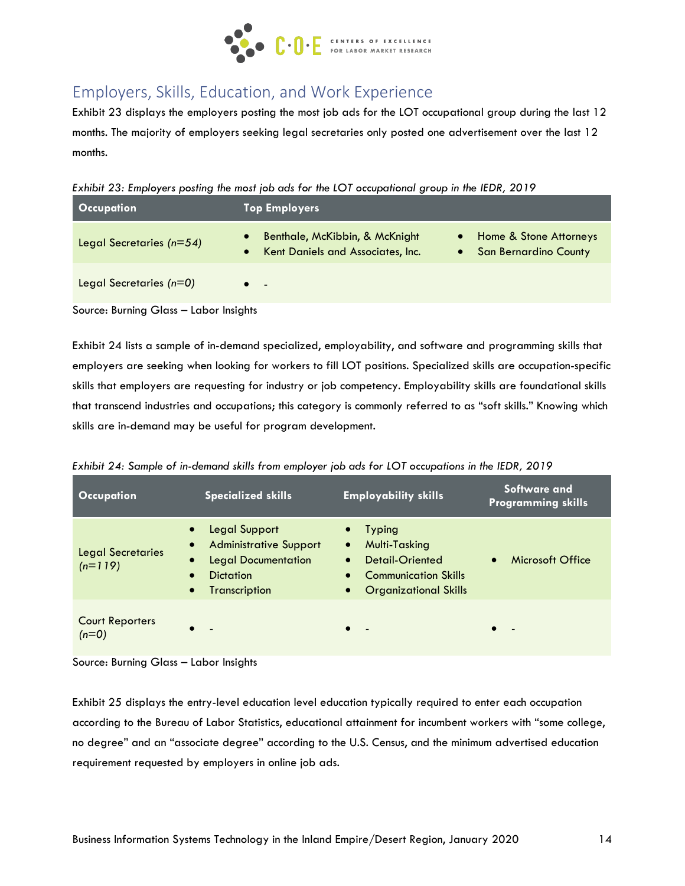

# Employers, Skills, Education, and Work Experience

Exhibit 23 displays the employers posting the most job ads for the LOT occupational group during the last 12 months. The majority of employers seeking legal secretaries only posted one advertisement over the last 12 months.

*Exhibit 23: Employers posting the most job ads for the LOT occupational group in the IEDR, 2019*

| <b>Occupation</b>          | <b>Top Employers</b>                                                |                                                                                  |
|----------------------------|---------------------------------------------------------------------|----------------------------------------------------------------------------------|
| Legal Secretaries $(n=54)$ | Benthale, McKibbin, & McKnight<br>Kent Daniels and Associates, Inc. | Home & Stone Attorneys<br>$\bullet$<br><b>San Bernardino County</b><br>$\bullet$ |
| Legal Secretaries $(n=0)$  | $\sim$                                                              |                                                                                  |

Source: Burning Glass – Labor Insights

Exhibit 24 lists a sample of in-demand specialized, employability, and software and programming skills that employers are seeking when looking for workers to fill LOT positions. Specialized skills are occupation-specific skills that employers are requesting for industry or job competency. Employability skills are foundational skills that transcend industries and occupations; this category is commonly referred to as "soft skills." Knowing which skills are in-demand may be useful for program development.

| <b>Occupation</b>                 | <b>Specialized skills</b>                                                                                                                                                          | <b>Employability skills</b>                                                                                                                                                       | Software and<br><b>Programming skills</b> |
|-----------------------------------|------------------------------------------------------------------------------------------------------------------------------------------------------------------------------------|-----------------------------------------------------------------------------------------------------------------------------------------------------------------------------------|-------------------------------------------|
| Legal Secretaries<br>$(n=119)$    | Legal Support<br>$\bullet$<br><b>Administrative Support</b><br>$\bullet$<br><b>Legal Documentation</b><br>$\bullet$<br><b>Dictation</b><br>$\bullet$<br>Transcription<br>$\bullet$ | <b>Typing</b><br>$\bullet$<br>Multi-Tasking<br>$\bullet$<br>Detail-Oriented<br>$\bullet$<br><b>Communication Skills</b><br>$\bullet$<br><b>Organizational Skills</b><br>$\bullet$ | Microsoft Office<br>$\bullet$             |
| <b>Court Reporters</b><br>$(n=0)$ |                                                                                                                                                                                    |                                                                                                                                                                                   | $\bullet$                                 |

*Exhibit 24: Sample of in-demand skills from employer job ads for LOT occupations in the IEDR, 2019*

Source: Burning Glass – Labor Insights

Exhibit 25 displays the entry-level education level education typically required to enter each occupation according to the Bureau of Labor Statistics, educational attainment for incumbent workers with "some college, no degree" and an "associate degree" according to the U.S. Census, and the minimum advertised education requirement requested by employers in online job ads.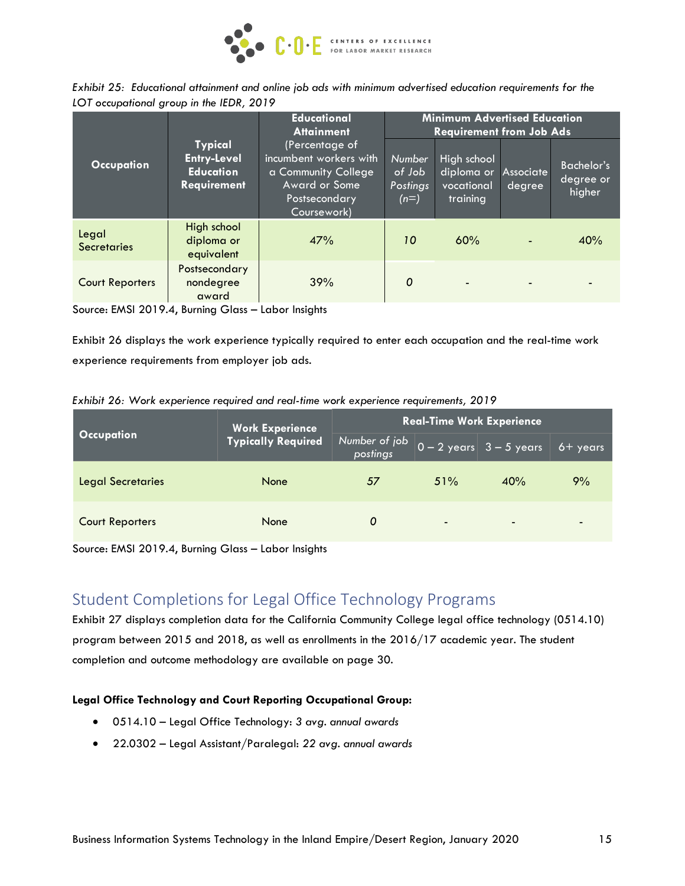

|                                          |  |  |  | Exhibit 25: Educational attainment and online job ads with minimum advertised education requirements for the |  |
|------------------------------------------|--|--|--|--------------------------------------------------------------------------------------------------------------|--|
| LOT occupational group in the IEDR, 2019 |  |  |  |                                                                                                              |  |

|                             |                                                                                | <b>Educational</b><br><b>Attainment</b>                                                                                 |                                        | <b>Minimum Advertised Education</b><br><b>Requirement from Job Ads</b> |                     |                                          |
|-----------------------------|--------------------------------------------------------------------------------|-------------------------------------------------------------------------------------------------------------------------|----------------------------------------|------------------------------------------------------------------------|---------------------|------------------------------------------|
| <b>Occupation</b>           | <b>Typical</b><br><b>Entry-Level</b><br><b>Education</b><br><b>Requirement</b> | (Percentage of<br>incumbent workers with<br>a Community College<br><b>Award or Some</b><br>Postsecondary<br>Coursework) | Number<br>of Job<br>Postings<br>$(n=)$ | High school<br>diploma or<br>vocational<br>training                    | Associate<br>degree | <b>Bachelor's</b><br>degree or<br>higher |
| Legal<br><b>Secretaries</b> | High school<br>diploma or<br>equivalent                                        | 47%                                                                                                                     | 10                                     | 60%                                                                    | $\blacksquare$      | 40%                                      |
| <b>Court Reporters</b>      | Postsecondary<br>nondegree<br>award                                            | 39%                                                                                                                     | $\Omega$                               |                                                                        | $\blacksquare$      |                                          |

Source: EMSI 2019.4, Burning Glass – Labor Insights

Exhibit 26 displays the work experience typically required to enter each occupation and the real-time work experience requirements from employer job ads.

| Exhibit 26: Work experience required and real-time work experience requirements, 2019 |  |  |  |
|---------------------------------------------------------------------------------------|--|--|--|
|                                                                                       |  |  |  |

|                          | <b>Work Experience</b>    | <b>Real-Time Work Experience</b> |                          |                                                            |                |  |
|--------------------------|---------------------------|----------------------------------|--------------------------|------------------------------------------------------------|----------------|--|
| <b>Occupation</b>        | <b>Typically Required</b> | Number of job<br>postings        |                          | $\boxed{0-2}$ years $\boxed{3-5}$ years $\boxed{6+}$ years |                |  |
| <b>Legal Secretaries</b> | None                      | 57                               | 51%                      | 40%                                                        | 9%             |  |
| <b>Court Reporters</b>   | None                      | 0                                | $\overline{\phantom{0}}$ | $\overline{\phantom{0}}$                                   | $\blacksquare$ |  |

Source: EMSI 2019.4, Burning Glass – Labor Insights

# Student Completions for Legal Office Technology Programs

Exhibit 27 displays completion data for the California Community College legal office technology (0514.10) program between 2015 and 2018, as well as enrollments in the 2016/17 academic year. The student completion and outcome methodology are available on page 30.

#### **Legal Office Technology and Court Reporting Occupational Group:**

- 0514.10 Legal Office Technology: *3 avg. annual awards*
- 22.0302 Legal Assistant/Paralegal: *22 avg. annual awards*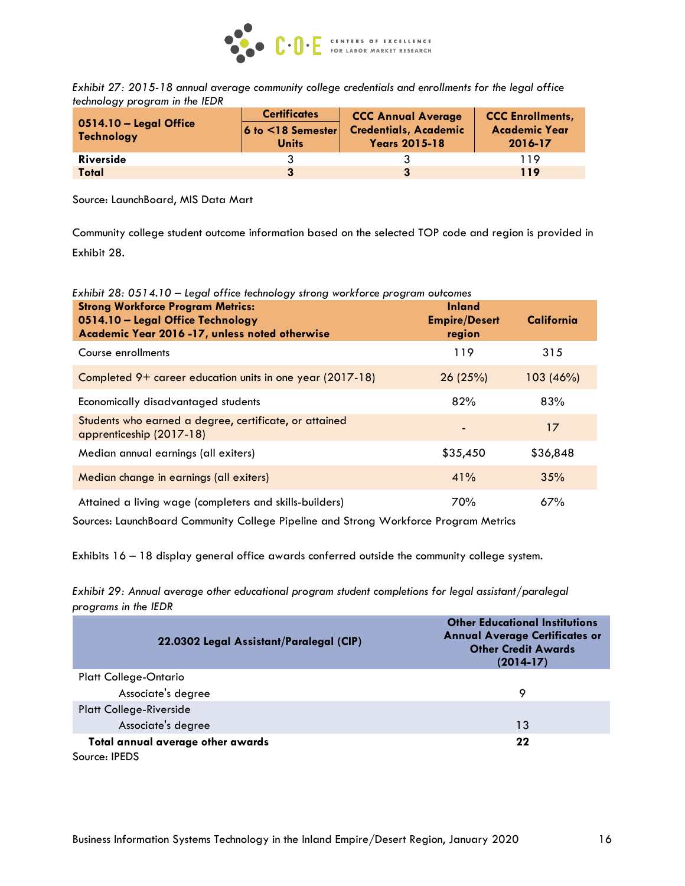

*Exhibit 27: 2015-18 annual average community college credentials and enrollments for the legal office technology program in the IEDR*

|                                        | <b>Certificates</b>                       | <b>CCC Annual Average</b>                            | <b>CCC Enrollments,</b>         |  |
|----------------------------------------|-------------------------------------------|------------------------------------------------------|---------------------------------|--|
| $0514.10 -$ Legal Office<br>Technology | $6$ to $\leq$ 18 Semester<br><b>Units</b> | <b>Credentials, Academic</b><br><b>Years 2015-18</b> | <b>Academic Year</b><br>2016-17 |  |
| <b>Riverside</b>                       |                                           |                                                      | 119                             |  |
| Total                                  | 3                                         | 3                                                    | 119                             |  |

Source: LaunchBoard, MIS Data Mart

Community college student outcome information based on the selected TOP code and region is provided in Exhibit 28.

*Exhibit 28: 0514.10 – Legal office technology strong workforce program outcomes*

| <b>Strong Workforce Program Metrics:</b><br>0514.10 - Legal Office Technology<br>Academic Year 2016 -17, unless noted otherwise | <b>Inland</b><br><b>Empire/Desert</b><br>region | California |
|---------------------------------------------------------------------------------------------------------------------------------|-------------------------------------------------|------------|
| Course enrollments                                                                                                              | 119                                             | 315        |
| Completed 9+ career education units in one year (2017-18)                                                                       | 26(25%)                                         | 103 (46%)  |
| Economically disadvantaged students                                                                                             | 82%                                             | 83%        |
| Students who earned a degree, certificate, or attained<br>apprenticeship (2017-18)                                              |                                                 | 17         |
| Median annual earnings (all exiters)                                                                                            | \$35,450                                        | \$36,848   |
| Median change in earnings (all exiters)                                                                                         | 41%                                             | 35%        |
| Attained a living wage (completers and skills-builders)                                                                         | 70%                                             | 67%        |

Sources: LaunchBoard Community College Pipeline and Strong Workforce Program Metrics

Exhibits 16 – 18 display general office awards conferred outside the community college system.

*Exhibit 29: Annual average other educational program student completions for legal assistant/paralegal programs in the IEDR*

| 22.0302 Legal Assistant/Paralegal (CIP) | <b>Other Educational Institutions</b><br><b>Annual Average Certificates or</b><br><b>Other Credit Awards</b><br>$(2014-17)$ |
|-----------------------------------------|-----------------------------------------------------------------------------------------------------------------------------|
| Platt College-Ontario                   |                                                                                                                             |
| Associate's degree                      | 9                                                                                                                           |
| <b>Platt College-Riverside</b>          |                                                                                                                             |
| Associate's degree                      | 13                                                                                                                          |
| Total annual average other awards       | 22                                                                                                                          |
| Source: <b>IPEDS</b>                    |                                                                                                                             |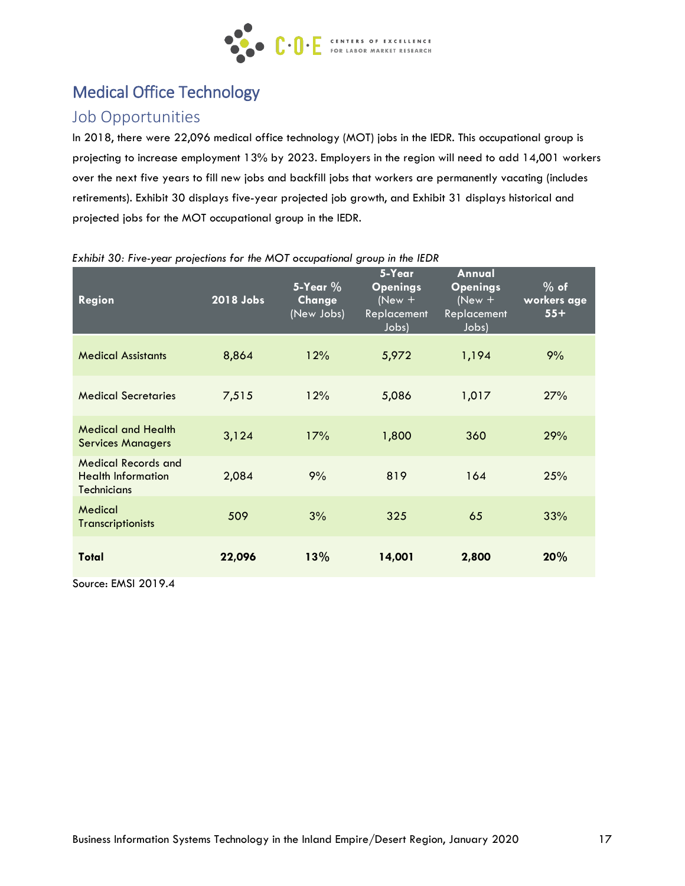

# Medical Office Technology

## Job Opportunities

In 2018, there were 22,096 medical office technology (MOT) jobs in the IEDR. This occupational group is projecting to increase employment 13% by 2023. Employers in the region will need to add 14,001 workers over the next five years to fill new jobs and backfill jobs that workers are permanently vacating (includes retirements). Exhibit 30 displays five-year projected job growth, and Exhibit 31 displays historical and projected jobs for the MOT occupational group in the IEDR.

| <b>Region</b>                                                                 | 2018 Jobs | $5$ -Year $\%$<br>Change<br>(New Jobs) | 5-Year<br><b>Openings</b><br>$(New +$<br>Replacement<br>Jobs) | <b>Annual</b><br><b>Openings</b><br>$(New +$<br>Replacement<br>Jobs) | $%$ of<br>workers age<br>$55+$ |
|-------------------------------------------------------------------------------|-----------|----------------------------------------|---------------------------------------------------------------|----------------------------------------------------------------------|--------------------------------|
| <b>Medical Assistants</b>                                                     | 8,864     | 12%                                    | 5,972                                                         | 1,194                                                                | 9%                             |
| <b>Medical Secretaries</b>                                                    | 7,515     | 12%                                    | 5,086                                                         | 1,017                                                                | 27%                            |
| <b>Medical and Health</b><br><b>Services Managers</b>                         | 3,124     | 17%                                    | 1,800                                                         | 360                                                                  | 29%                            |
| <b>Medical Records and</b><br><b>Health Information</b><br><b>Technicians</b> | 2,084     | 9%                                     | 819                                                           | 164                                                                  | 25%                            |
| Medical<br><b>Transcriptionists</b>                                           | 509       | 3%                                     | 325                                                           | 65                                                                   | 33%                            |
| Total                                                                         | 22,096    | 13%                                    | 14,001                                                        | 2,800                                                                | 20%                            |

#### *Exhibit 30: Five-year projections for the MOT occupational group in the IEDR*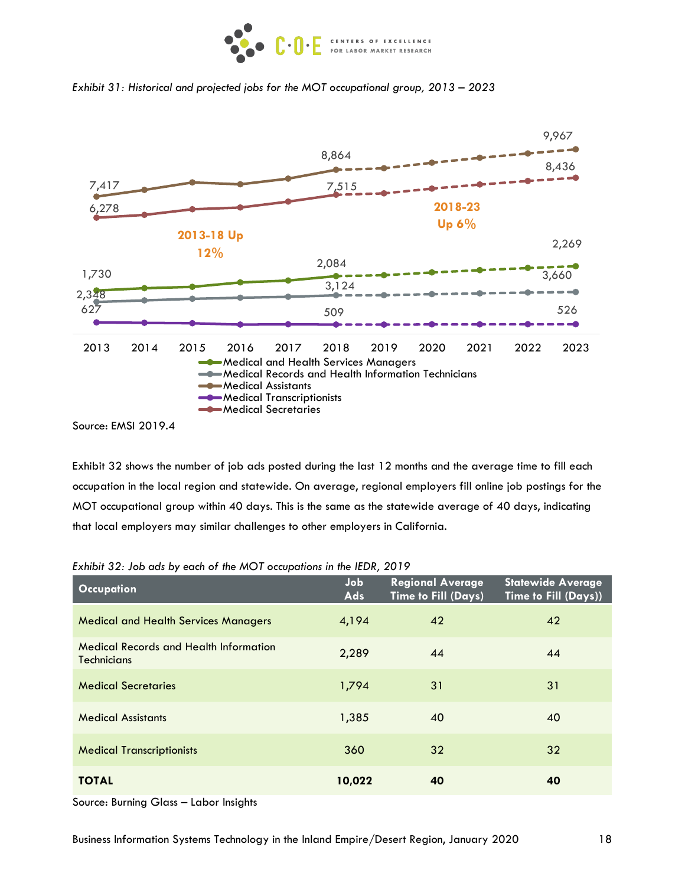





Exhibit 32 shows the number of job ads posted during the last 12 months and the average time to fill each occupation in the local region and statewide. On average, regional employers fill online job postings for the MOT occupational group within 40 days. This is the same as the statewide average of 40 days, indicating that local employers may similar challenges to other employers in California.

| <b>Occupation</b>                                                   | Job<br>Ads | <b>Regional Average</b><br>Time to Fill (Days) | <b>Statewide Average</b><br>Time to Fill (Days)) |
|---------------------------------------------------------------------|------------|------------------------------------------------|--------------------------------------------------|
| <b>Medical and Health Services Managers</b>                         | 4,194      | 42                                             | 42                                               |
| <b>Medical Records and Health Information</b><br><b>Technicians</b> | 2,289      | 44                                             | 44                                               |
| <b>Medical Secretaries</b>                                          | 1,794      | 31                                             | 31                                               |
| <b>Medical Assistants</b>                                           | 1,385      | 40                                             | 40                                               |
| <b>Medical Transcriptionists</b>                                    | 360        | 32                                             | 32                                               |
| <b>TOTAL</b>                                                        | 10,022     | 40                                             | 40                                               |

*Exhibit 32: Job ads by each of the MOT occupations in the IEDR, 2019*

Source: Burning Glass – Labor Insights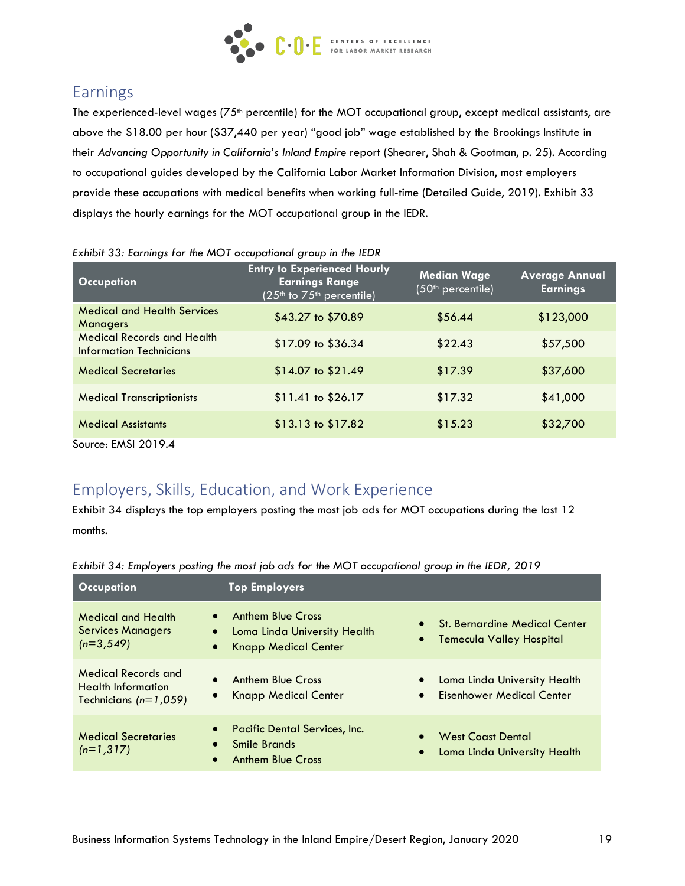

# Earnings

The experienced-level wages (75<sup>th</sup> percentile) for the MOT occupational group, except medical assistants, are above the \$18.00 per hour (\$37,440 per year) "good job" wage established by the Brookings Institute in their *Advancing Opportunity in California's Inland Empire* report (Shearer, Shah & Gootman, p. 25). According to occupational guides developed by the California Labor Market Information Division, most employers provide these occupations with medical benefits when working full-time (Detailed Guide, 2019). Exhibit 33 displays the hourly earnings for the MOT occupational group in the IEDR.

| <b>Occupation</b>                                            | <b>Entry to Experienced Hourly</b><br><b>Earnings Range</b><br>$(25th$ to $75th$ percentile) | <b>Median Wage</b><br>(50 <sup>th</sup> percentile) | <b>Average Annual</b><br><b>Earnings</b> |
|--------------------------------------------------------------|----------------------------------------------------------------------------------------------|-----------------------------------------------------|------------------------------------------|
| <b>Medical and Health Services</b><br><b>Managers</b>        | \$43.27 to \$70.89                                                                           | \$56.44                                             | \$123,000                                |
| <b>Medical Records and Health</b><br>Information Technicians | \$17.09 to \$36.34                                                                           | \$22.43                                             | \$57,500                                 |
| <b>Medical Secretaries</b>                                   | \$14.07 to \$21.49                                                                           | \$17.39                                             | \$37,600                                 |
| <b>Medical Transcriptionists</b>                             | $$11.41$ to $$26.17$                                                                         | \$17.32                                             | \$41,000                                 |
| <b>Medical Assistants</b>                                    | $$13.13$ to $$17.82$                                                                         | \$15.23                                             | \$32,700                                 |
| Source: EMSI 2019.4                                          |                                                                                              |                                                     |                                          |

#### *Exhibit 33: Earnings for the MOT occupational group in the IEDR*

# Employers, Skills, Education, and Work Experience

Exhibit 34 displays the top employers posting the most job ads for MOT occupations during the last 12 months.

| <b>Occupation</b>                                                                                            | <b>Top Employers</b>                                                                    |                                                                                            |
|--------------------------------------------------------------------------------------------------------------|-----------------------------------------------------------------------------------------|--------------------------------------------------------------------------------------------|
| <b>Medical and Health</b><br>$\bullet$<br><b>Services Managers</b><br>$\bullet$<br>$(n=3.549)$<br>$\bullet$  | <b>Anthem Blue Cross</b><br>Loma Linda University Health<br><b>Knapp Medical Center</b> | <b>St. Bernardine Medical Center</b><br>$\bullet$<br>Temecula Valley Hospital<br>$\bullet$ |
| <b>Medical Records and</b><br>$\bullet$<br><b>Health Information</b><br>$\bullet$<br>Technicians $(n=1,059)$ | <b>Anthem Blue Cross</b><br><b>Knapp Medical Center</b>                                 | Loma Linda University Health<br>$\bullet$<br>Eisenhower Medical Center<br>$\bullet$        |
| $\bullet$<br><b>Medical Secretaries</b><br>$\bullet$<br>$(n=1,317)$<br>$\bullet$                             | Pacific Dental Services, Inc.<br>Smile Brands<br><b>Anthem Blue Cross</b>               | <b>West Coast Dental</b><br>$\bullet$<br>Loma Linda University Health<br>$\bullet$         |

### *Exhibit 34: Employers posting the most job ads for the MOT occupational group in the IEDR, 2019*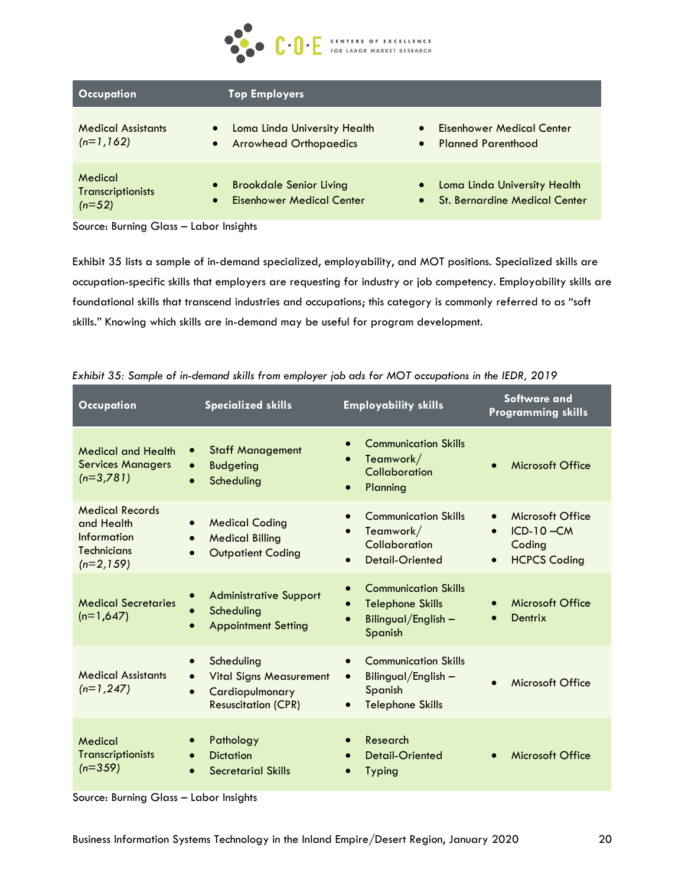

| <b>Occupation</b>                                                         | <b>Top Employers</b>                                          |                                                                                   |
|---------------------------------------------------------------------------|---------------------------------------------------------------|-----------------------------------------------------------------------------------|
| <b>Medical Assistants</b><br>$\bullet$<br>$(n=1,162)$<br>$\bullet$        | Loma Linda University Health<br><b>Arrowhead Orthopaedics</b> | <b>Eisenhower Medical Center</b><br><b>Planned Parenthood</b><br>$\bullet$        |
| Medical<br>$\bullet$<br><b>Transcriptionists</b><br>$\bullet$<br>$(n=52)$ | <b>Brookdale Senior Living</b><br>Eisenhower Medical Center   | Loma Linda University Health<br><b>St. Bernardine Medical Center</b><br>$\bullet$ |

Source: Burning Glass – Labor Insights

Exhibit 35 lists a sample of in-demand specialized, employability, and MOT positions. Specialized skills are occupation-specific skills that employers are requesting for industry or job competency. Employability skills are foundational skills that transcend industries and occupations; this category is commonly referred to as "soft skills." Knowing which skills are in-demand may be useful for program development.

| <b>Occupation</b>                                                                        | <b>Specialized skills</b>                                                                                                            | <b>Employability skills</b>                                                                                                     | <b>Software and</b><br><b>Programming skills</b>                                                          |
|------------------------------------------------------------------------------------------|--------------------------------------------------------------------------------------------------------------------------------------|---------------------------------------------------------------------------------------------------------------------------------|-----------------------------------------------------------------------------------------------------------|
| <b>Medical and Health</b><br><b>Services Managers</b><br>$(n=3,781)$                     | <b>Staff Management</b><br>$\bullet$<br><b>Budgeting</b><br>$\bullet$<br>Scheduling<br>$\bullet$                                     | <b>Communication Skills</b><br>$\bullet$<br>Teamwork/<br>Collaboration<br>Planning<br>$\bullet$                                 | Microsoft Office<br>$\bullet$                                                                             |
| <b>Medical Records</b><br>and Health<br>Information<br><b>Technicians</b><br>$(n=2,159)$ | <b>Medical Coding</b><br>$\bullet$<br><b>Medical Billing</b><br>$\bullet$<br><b>Outpatient Coding</b><br>$\bullet$                   | <b>Communication Skills</b><br>Teamwork/<br>$\bullet$<br>Collaboration<br><b>Detail-Oriented</b><br>$\bullet$                   | Microsoft Office<br>$\bullet$<br>$ICD-10 - CM$<br>$\bullet$<br>Coding<br><b>HCPCS Coding</b><br>$\bullet$ |
| <b>Medical Secretaries</b><br>$(n=1,647)$                                                | <b>Administrative Support</b><br>$\bullet$<br>Scheduling<br><b>Appointment Setting</b><br>$\bullet$                                  | <b>Communication Skills</b><br>$\bullet$<br><b>Telephone Skills</b><br>$\bullet$<br>Bilingual/English -<br>Spanish              | Microsoft Office<br>$\bullet$<br>Dentrix<br>$\bullet$                                                     |
| <b>Medical Assistants</b><br>$(n=1, 247)$                                                | Scheduling<br>$\bullet$<br><b>Vital Signs Measurement</b><br>$\bullet$<br>Cardiopulmonary<br>$\bullet$<br><b>Resuscitation (CPR)</b> | <b>Communication Skills</b><br>$\bullet$<br>Bilingual/English -<br>$\bullet$<br>Spanish<br><b>Telephone Skills</b><br>$\bullet$ | Microsoft Office<br>$\bullet$                                                                             |
| Medical<br>Transcriptionists<br>$(n=359)$                                                | Pathology<br>$\bullet$<br><b>Dictation</b><br>$\bullet$<br><b>Secretarial Skills</b>                                                 | Research<br><b>Detail-Oriented</b><br>$\bullet$<br><b>Typing</b>                                                                | Microsoft Office<br>$\bullet$                                                                             |

*Exhibit 35: Sample of in-demand skills from employer job ads for MOT occupations in the IEDR, 2019*

Source: Burning Glass – Labor Insights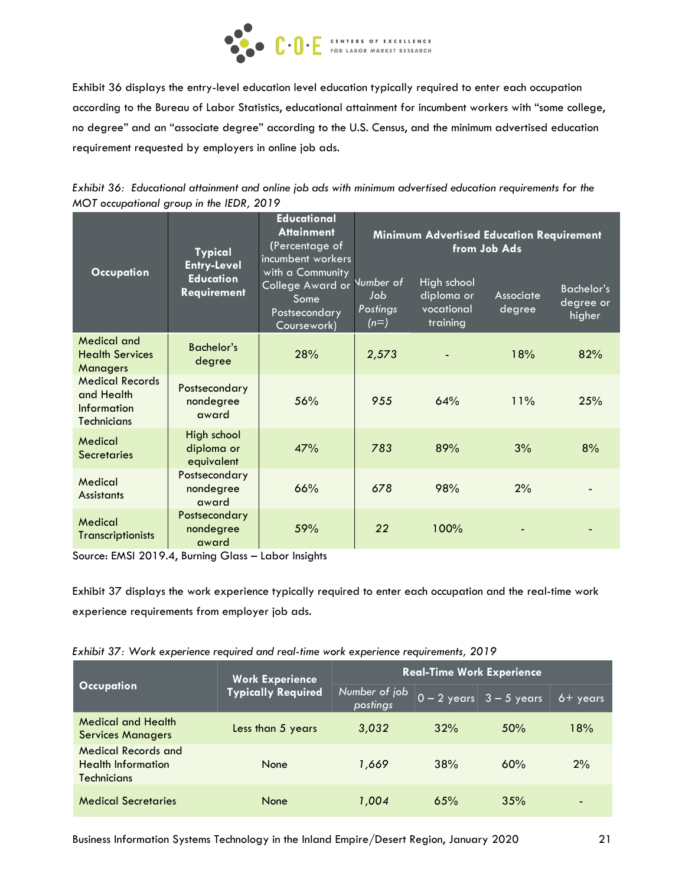

Exhibit 36 displays the entry-level education level education typically required to enter each occupation according to the Bureau of Labor Statistics, educational attainment for incumbent workers with "some college, no degree" and an "associate degree" according to the U.S. Census, and the minimum advertised education requirement requested by employers in online job ads.

*Exhibit 36: Educational attainment and online job ads with minimum advertised education requirements for the MOT occupational group in the IEDR, 2019*

| <b>Typical</b><br><b>Entry-Level</b>                                      |                                         | <b>Educational</b><br><b>Attainment</b><br>(Percentage of<br>incumbent workers | Minimum Advertised Education Requirement<br>from Job Ads |                                                     |                     |                                          |
|---------------------------------------------------------------------------|-----------------------------------------|--------------------------------------------------------------------------------|----------------------------------------------------------|-----------------------------------------------------|---------------------|------------------------------------------|
| <b>Occupation</b>                                                         | <b>Education</b><br>Requirement         | with a Community<br>College Award or<br>Some<br>Postsecondary<br>Coursework)   | Number of<br>Job<br>Postings<br>$(n=)$                   | High school<br>diploma or<br>vocational<br>training | Associate<br>degree | <b>Bachelor's</b><br>degree or<br>higher |
| <b>Medical and</b><br><b>Health Services</b><br><b>Managers</b>           | <b>Bachelor's</b><br>degree             | 28%                                                                            | 2,573                                                    |                                                     | 18%                 | 82%                                      |
| <b>Medical Records</b><br>and Health<br>Information<br><b>Technicians</b> | Postsecondary<br>nondegree<br>award     | 56%                                                                            | 955                                                      | 64%                                                 | 11%                 | 25%                                      |
| Medical<br><b>Secretaries</b>                                             | High school<br>diploma or<br>equivalent | 47%                                                                            | 783                                                      | 89%                                                 | 3%                  | 8%                                       |
| Medical<br><b>Assistants</b>                                              | Postsecondary<br>nondegree<br>award     | 66%                                                                            | 678                                                      | 98%                                                 | 2%                  |                                          |
| Medical<br><b>Transcriptionists</b>                                       | Postsecondary<br>nondegree<br>award     | 59%                                                                            | 22                                                       | 100%                                                |                     |                                          |

Source: EMSI 2019.4, Burning Glass – Labor Insights

Exhibit 37 displays the work experience typically required to enter each occupation and the real-time work experience requirements from employer job ads.

*Exhibit 37: Work experience required and real-time work experience requirements, 2019*

| <b>Occupation</b>                                                             | <b>Work Experience</b>    | <b>Real-Time Work Experience</b> |     |                                                       |     |  |
|-------------------------------------------------------------------------------|---------------------------|----------------------------------|-----|-------------------------------------------------------|-----|--|
|                                                                               | <b>Typically Required</b> | Number of job<br>postings        |     | $\boxed{0-2 \text{ years}}$ 3 - 5 years<br>$6+$ years |     |  |
| <b>Medical and Health</b><br><b>Services Managers</b>                         | Less than 5 years         | 3,032                            | 32% | 50%                                                   | 18% |  |
| <b>Medical Records and</b><br><b>Health Information</b><br><b>Technicians</b> | None                      | 1,669                            | 38% | 60%                                                   | 2%  |  |
| <b>Medical Secretaries</b>                                                    | <b>None</b>               | 1,004                            | 65% | 35%                                                   | -   |  |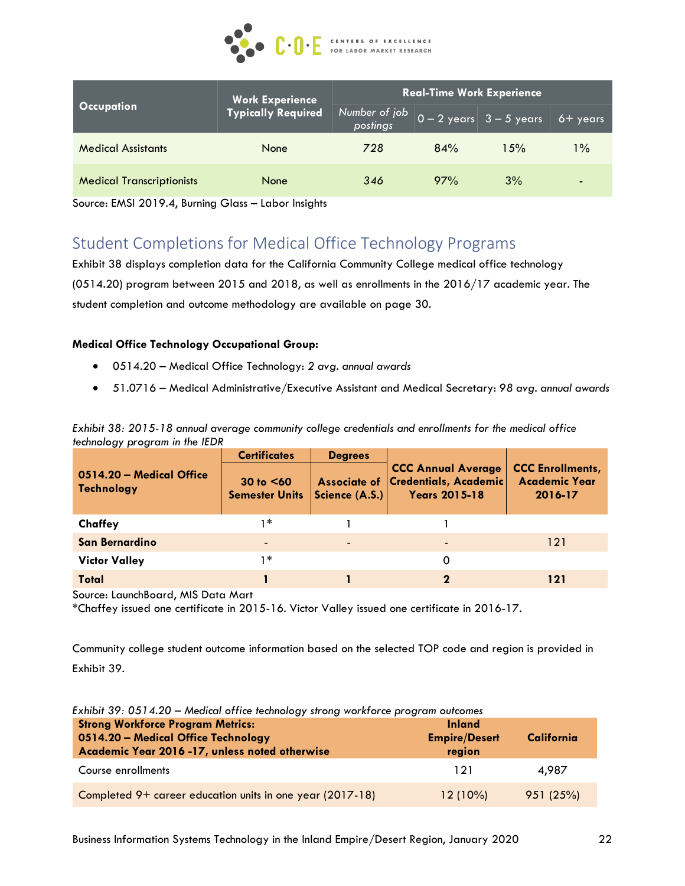

|                                  | <b>Work Experience</b>    | <b>Real-Time Work Experience</b> |     |                                                             |                   |
|----------------------------------|---------------------------|----------------------------------|-----|-------------------------------------------------------------|-------------------|
| <b>Occupation</b>                | <b>Typically Required</b> | Number of job<br>postings        |     | $\boxed{0 - 2 \text{ years}}$ $\boxed{3 - 5 \text{ years}}$ | $6 + \gamma$ ears |
| <b>Medical Assistants</b>        | None                      | 728                              | 84% | $1.5\%$                                                     | % 1               |
| <b>Medical Transcriptionists</b> | None                      | 346                              | 97% | 3%                                                          | $\blacksquare$    |

Source: EMSI 2019.4, Burning Glass – Labor Insights

# Student Completions for Medical Office Technology Programs

Exhibit 38 displays completion data for the California Community College medical office technology (0514.20) program between 2015 and 2018, as well as enrollments in the 2016/17 academic year. The student completion and outcome methodology are available on page 30.

### **Medical Office Technology Occupational Group:**

- 0514.20 Medical Office Technology: *2 avg. annual awards*
- 51.0716 Medical Administrative/Executive Assistant and Medical Secretary: *98 avg. annual awards*

*Exhibit 38: 2015-18 annual average community college credentials and enrollments for the medical office technology program in the IEDR*

|                                               | <b>Certificates</b>                    | <b>Degrees</b> |                                                                                         |                                                            |
|-----------------------------------------------|----------------------------------------|----------------|-----------------------------------------------------------------------------------------|------------------------------------------------------------|
| 0514.20 – Medical Office<br><b>Technology</b> | $30$ to $<60$<br><b>Semester Units</b> | Science (A.S.) | <b>CCC Annual Average</b><br>Associate of Credentials, Academic<br><b>Years 2015-18</b> | <b>CCC Enrollments,</b><br><b>Academic Year</b><br>2016-17 |
| Chaffey                                       | 1 *                                    |                |                                                                                         |                                                            |
| San Bernardino                                |                                        | $\blacksquare$ | $\overline{\phantom{0}}$                                                                | 121                                                        |
| <b>Victor Valley</b>                          | 1 *                                    |                | 0                                                                                       |                                                            |
| Total                                         |                                        |                |                                                                                         | 121                                                        |

Source: LaunchBoard, MIS Data Mart

\*Chaffey issued one certificate in 2015-16. Victor Valley issued one certificate in 2016-17.

Community college student outcome information based on the selected TOP code and region is provided in Exhibit 39.

| Exhibit 39: 051 4.20 – Medical office technology strong workforce program outcomes                                               |                                                 |            |  |  |
|----------------------------------------------------------------------------------------------------------------------------------|-------------------------------------------------|------------|--|--|
| <b>Strong Workforce Program Metrics:</b><br>0514.20 - Medical Office Technology<br>Academic Year 2016-17, unless noted otherwise | <b>Inland</b><br><b>Empire/Desert</b><br>region | California |  |  |
| Course enrollments                                                                                                               | 121                                             | 4.987      |  |  |
| Completed 9+ career education units in one year (2017-18)                                                                        | $12(10\%)$                                      | 951(25%)   |  |  |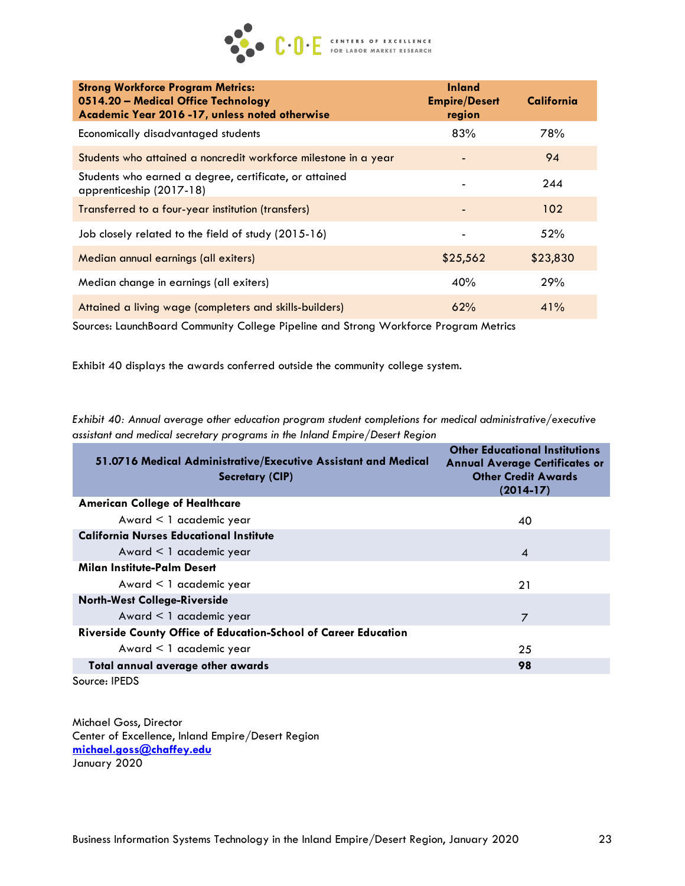

| <b>Strong Workforce Program Metrics:</b><br>0514.20 - Medical Office Technology<br>Academic Year 2016 -17, unless noted otherwise | <b>Inland</b><br><b>Empire/Desert</b><br>region | California |
|-----------------------------------------------------------------------------------------------------------------------------------|-------------------------------------------------|------------|
| Economically disadvantaged students                                                                                               | 83%                                             | 78%        |
| Students who attained a noncredit workforce milestone in a year                                                                   |                                                 | 94         |
| Students who earned a degree, certificate, or attained<br>apprenticeship (2017-18)                                                |                                                 | 244        |
| Transferred to a four-year institution (transfers)                                                                                |                                                 | 102        |
| Job closely related to the field of study (2015-16)                                                                               |                                                 | 52%        |
| Median annual earnings (all exiters)                                                                                              | \$25,562                                        | \$23,830   |
| Median change in earnings (all exiters)                                                                                           | 40%                                             | 29%        |
| Attained a living wage (completers and skills-builders)                                                                           | 62%                                             | 41%        |

Sources: LaunchBoard Community College Pipeline and Strong Workforce Program Metrics

Exhibit 40 displays the awards conferred outside the community college system.

*Exhibit 40: Annual average other education program student completions for medical administrative/executive assistant and medical secretary programs in the Inland Empire/Desert Region*

| 51.0716 Medical Administrative/Executive Assistant and Medical<br>Secretary (CIP) | <b>Other Educational Institutions</b><br><b>Annual Average Certificates or</b><br><b>Other Credit Awards</b><br>$(2014-17)$ |
|-----------------------------------------------------------------------------------|-----------------------------------------------------------------------------------------------------------------------------|
| <b>American College of Healthcare</b>                                             |                                                                                                                             |
| Award $\leq 1$ academic year                                                      | 40                                                                                                                          |
| <b>California Nurses Educational Institute</b>                                    |                                                                                                                             |
| Award $\leq 1$ academic year                                                      | $\overline{A}$                                                                                                              |
| Milan Institute-Palm Desert                                                       |                                                                                                                             |
| Award $\leq 1$ academic year                                                      | 21                                                                                                                          |
| <b>North-West College-Riverside</b>                                               |                                                                                                                             |
| Award < 1 academic year                                                           | 7                                                                                                                           |
| Riverside County Office of Education-School of Career Education                   |                                                                                                                             |
| Award $\leq 1$ academic year                                                      | 25                                                                                                                          |
| Total annual average other awards                                                 | 98                                                                                                                          |
|                                                                                   |                                                                                                                             |

Source: IPEDS

Michael Goss, Director Center of Excellence, Inland Empire/Desert Region **[michael.goss@chaffey.edu](mailto:michael.goss@chaffey.edu)** January 2020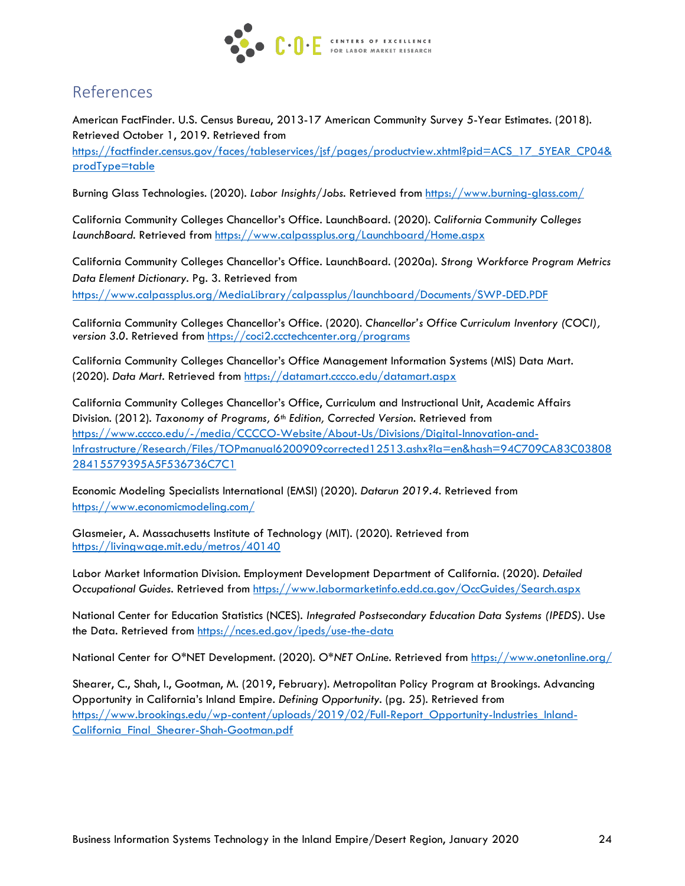

# References

American FactFinder. U.S. Census Bureau, 2013-17 American Community Survey 5-Year Estimates. (2018). Retrieved October 1, 2019. Retrieved from https://factfinder.census.gov/faces/tableservices/isf/pages/productview.xhtml?pid=ACS\_17\_5YEAR\_CP04& [prodType=table](https://factfinder.census.gov/faces/tableservices/jsf/pages/productview.xhtml?pid=ACS_17_5YR_CP04&prodType=table)

Burning Glass Technologies. (2020). *Labor Insights/Jobs.* Retrieved from<https://www.burning-glass.com/>

California Community Colleges Chancellor's Office. LaunchBoard. (2020). *California Community Colleges LaunchBoard.* Retrieved from<https://www.calpassplus.org/Launchboard/Home.aspx>

California Community Colleges Chancellor's Office. LaunchBoard. (2020a). *Strong Workforce Program Metrics Data Element Dictionary.* Pg. 3. Retrieved from <https://www.calpassplus.org/MediaLibrary/calpassplus/launchboard/Documents/SWP-DED.PDF>

California Community Colleges Chancellor's Office. (2020). *Chancellor's Office Curriculum Inventory (COCI), version 3.0.* Retrieved from<https://coci2.ccctechcenter.org/programs>

California Community Colleges Chancellor's Office Management Information Systems (MIS) Data Mart. (2020). *Data Mart.* Retrieved from<https://datamart.cccco.edu/datamart.aspx>

California Community Colleges Chancellor's Office, Curriculum and Instructional Unit, Academic Affairs Division. (2012). *Taxonomy of Programs, 6th Edition, Corrected Version.* Retrieved from [https://www.cccco.edu/-/media/CCCCO-Website/About-Us/Divisions/Digital-Innovation-and-](https://www.cccco.edu/-/media/CCCCO-Website/About-Us/Divisions/Digital-Innovation-and-Infrastructure/Research/Files/TOPmanual6200909corrected12513.ashx?la=en&hash=94C709CA83C0380828415579395A5F536736C7C1%20)[Infrastructure/Research/Files/TOPmanual6200909corrected12513.ashx?la=en&hash=94C709CA83C03808](https://www.cccco.edu/-/media/CCCCO-Website/About-Us/Divisions/Digital-Innovation-and-Infrastructure/Research/Files/TOPmanual6200909corrected12513.ashx?la=en&hash=94C709CA83C0380828415579395A5F536736C7C1%20) [28415579395A5F536736C7C1](https://www.cccco.edu/-/media/CCCCO-Website/About-Us/Divisions/Digital-Innovation-and-Infrastructure/Research/Files/TOPmanual6200909corrected12513.ashx?la=en&hash=94C709CA83C0380828415579395A5F536736C7C1%20) 

Economic Modeling Specialists International (EMSI) (2020). *Datarun 2019.4.* Retrieved from <https://www.economicmodeling.com/>

Glasmeier, A. Massachusetts Institute of Technology (MIT). (2020). Retrieved from <https://livingwage.mit.edu/metros/40140>

Labor Market Information Division. Employment Development Department of California. (2020). *Detailed Occupational Guides.* Retrieved from<https://www.labormarketinfo.edd.ca.gov/OccGuides/Search.aspx>

National Center for Education Statistics (NCES). *Integrated Postsecondary Education Data Systems (IPEDS).* Use the Data. Retrieved from<https://nces.ed.gov/ipeds/use-the-data>

National Center for O\*NET Development. (2020). *O\*NET OnLine.* Retrieved from<https://www.onetonline.org/>

Shearer, C., Shah, I., Gootman, M. (2019, February). Metropolitan Policy Program at Brookings. Advancing Opportunity in California's Inland Empire. *Defining Opportunity.* (pg. 25). Retrieved from [https://www.brookings.edu/wp-content/uploads/2019/02/Full-Report\\_Opportunity-Industries\\_Inland-](https://www.brookings.edu/wp-content/uploads/2019/02/Full-Report_Opportunity-Industries_Inland-California_Final_Shearer-Shah-Gootman.pdf)[California\\_Final\\_Shearer-Shah-Gootman.pdf](https://www.brookings.edu/wp-content/uploads/2019/02/Full-Report_Opportunity-Industries_Inland-California_Final_Shearer-Shah-Gootman.pdf)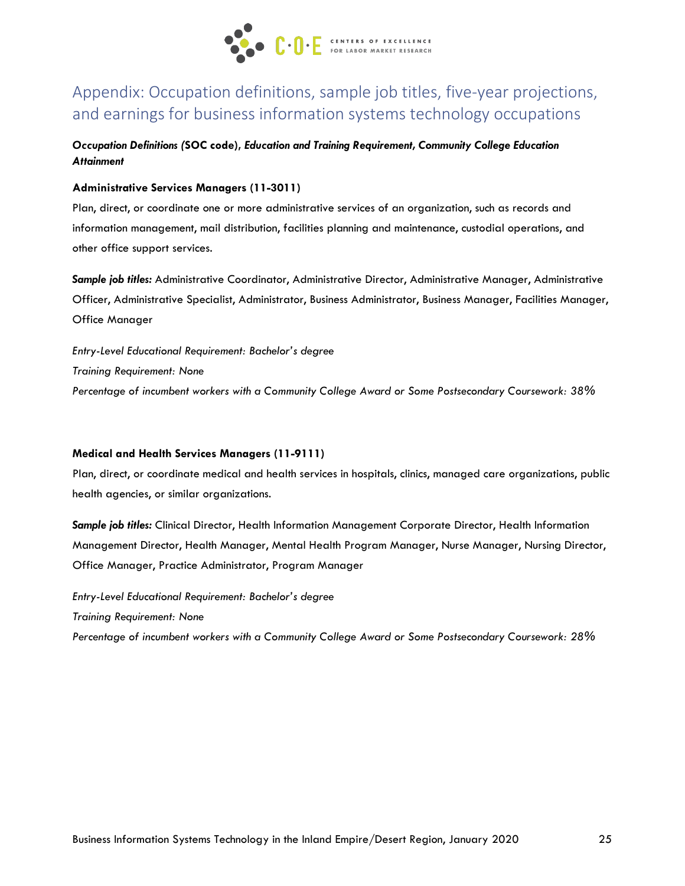

# Appendix: Occupation definitions, sample job titles, five-year projections, and earnings for business information systems technology occupations

### *Occupation Definitions (***SOC code),** *Education and Training Requirement, Community College Education Attainment*

#### **Administrative Services Managers (11-3011)**

Plan, direct, or coordinate one or more administrative services of an organization, such as records and information management, mail distribution, facilities planning and maintenance, custodial operations, and other office support services.

*Sample job titles:* Administrative Coordinator, Administrative Director, Administrative Manager, Administrative Officer, Administrative Specialist, Administrator, Business Administrator, Business Manager, Facilities Manager, Office Manager

*Entry-Level Educational Requirement: Bachelor's degree Training Requirement: None Percentage of incumbent workers with a Community College Award or Some Postsecondary Coursework: 38%*

#### **Medical and Health Services Managers (11-9111)**

Plan, direct, or coordinate medical and health services in hospitals, clinics, managed care organizations, public health agencies, or similar organizations.

*Sample job titles:* Clinical Director, Health Information Management Corporate Director, Health Information Management Director, Health Manager, Mental Health Program Manager, Nurse Manager, Nursing Director, Office Manager, Practice Administrator, Program Manager

*Entry-Level Educational Requirement: Bachelor's degree Training Requirement: None Percentage of incumbent workers with a Community College Award or Some Postsecondary Coursework: 28%*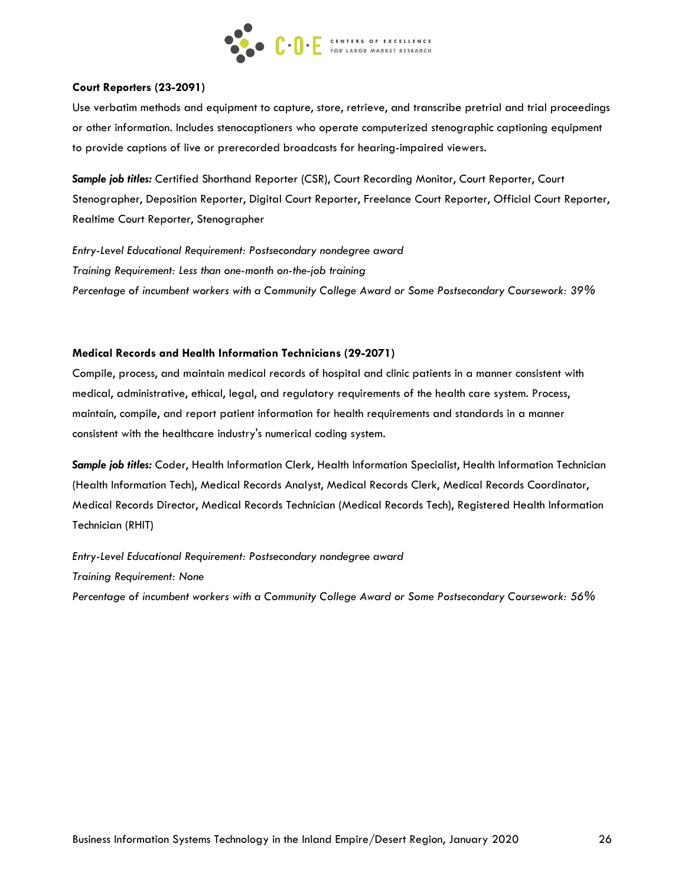

#### **Court Reporters (23-2091)**

Use verbatim methods and equipment to capture, store, retrieve, and transcribe pretrial and trial proceedings or other information. Includes stenocaptioners who operate computerized stenographic captioning equipment to provide captions of live or prerecorded broadcasts for hearing-impaired viewers.

*Sample job titles:* Certified Shorthand Reporter (CSR), Court Recording Monitor, Court Reporter, Court Stenographer, Deposition Reporter, Digital Court Reporter, Freelance Court Reporter, Official Court Reporter, Realtime Court Reporter, Stenographer

*Entry-Level Educational Requirement: Postsecondary nondegree award Training Requirement: Less than one-month on-the-job training Percentage of incumbent workers with a Community College Award or Some Postsecondary Coursework: 39%*

#### **Medical Records and Health Information Technicians (29-2071)**

Compile, process, and maintain medical records of hospital and clinic patients in a manner consistent with medical, administrative, ethical, legal, and regulatory requirements of the health care system. Process, maintain, compile, and report patient information for health requirements and standards in a manner consistent with the healthcare industry's numerical coding system.

*Sample job titles:* Coder, Health Information Clerk, Health Information Specialist, Health Information Technician (Health Information Tech), Medical Records Analyst, Medical Records Clerk, Medical Records Coordinator, Medical Records Director, Medical Records Technician (Medical Records Tech), Registered Health Information Technician (RHIT)

*Entry-Level Educational Requirement: Postsecondary nondegree award Training Requirement: None Percentage of incumbent workers with a Community College Award or Some Postsecondary Coursework: 56%*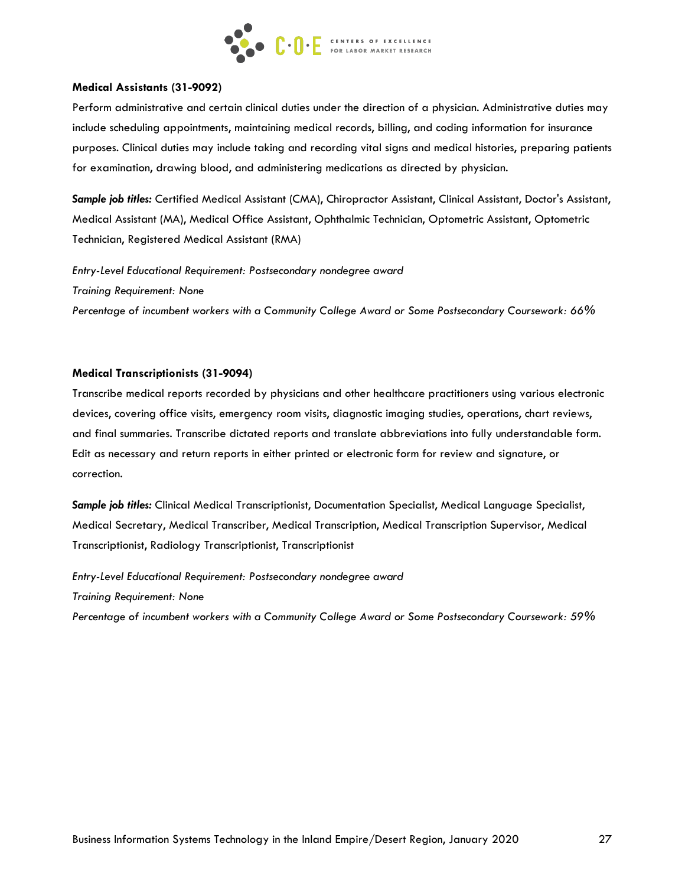

#### **Medical Assistants (31-9092)**

Perform administrative and certain clinical duties under the direction of a physician. Administrative duties may include scheduling appointments, maintaining medical records, billing, and coding information for insurance purposes. Clinical duties may include taking and recording vital signs and medical histories, preparing patients for examination, drawing blood, and administering medications as directed by physician.

*Sample job titles:* Certified Medical Assistant (CMA), Chiropractor Assistant, Clinical Assistant, Doctor's Assistant, Medical Assistant (MA), Medical Office Assistant, Ophthalmic Technician, Optometric Assistant, Optometric Technician, Registered Medical Assistant (RMA)

*Entry-Level Educational Requirement: Postsecondary nondegree award Training Requirement: None Percentage of incumbent workers with a Community College Award or Some Postsecondary Coursework: 66%*

#### **Medical Transcriptionists (31-9094)**

Transcribe medical reports recorded by physicians and other healthcare practitioners using various electronic devices, covering office visits, emergency room visits, diagnostic imaging studies, operations, chart reviews, and final summaries. Transcribe dictated reports and translate abbreviations into fully understandable form. Edit as necessary and return reports in either printed or electronic form for review and signature, or correction.

*Sample job titles:* Clinical Medical Transcriptionist, Documentation Specialist, Medical Language Specialist, Medical Secretary, Medical Transcriber, Medical Transcription, Medical Transcription Supervisor, Medical Transcriptionist, Radiology Transcriptionist, Transcriptionist

*Entry-Level Educational Requirement: Postsecondary nondegree award Training Requirement: None Percentage of incumbent workers with a Community College Award or Some Postsecondary Coursework: 59%*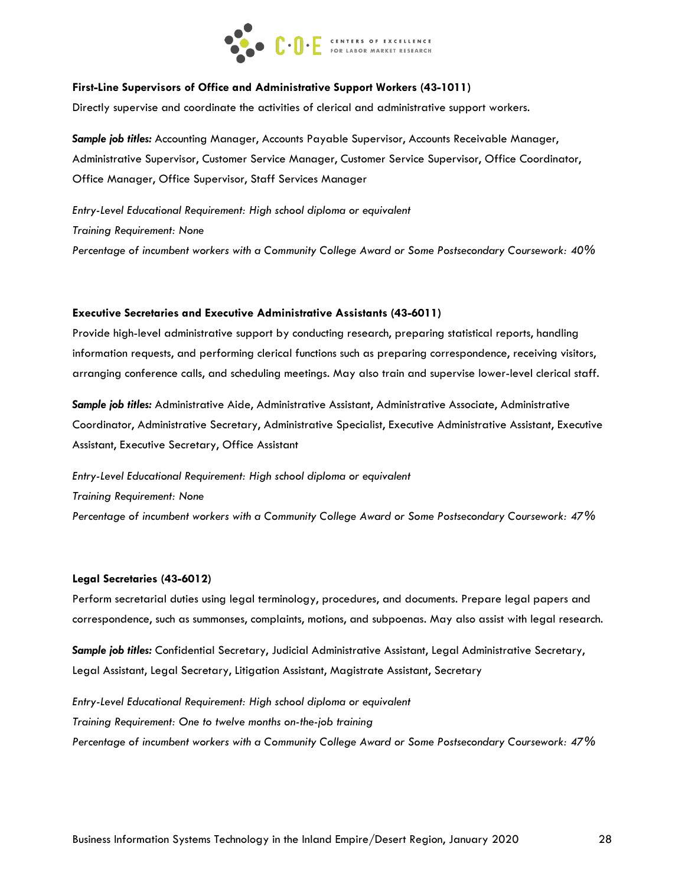

#### **First-Line Supervisors of Office and Administrative Support Workers (43-1011)**

Directly supervise and coordinate the activities of clerical and administrative support workers.

*Sample job titles:* Accounting Manager, Accounts Payable Supervisor, Accounts Receivable Manager, Administrative Supervisor, Customer Service Manager, Customer Service Supervisor, Office Coordinator, Office Manager, Office Supervisor, Staff Services Manager

*Entry-Level Educational Requirement: High school diploma or equivalent Training Requirement: None Percentage of incumbent workers with a Community College Award or Some Postsecondary Coursework: 40%*

#### **Executive Secretaries and Executive Administrative Assistants (43-6011)**

Provide high-level administrative support by conducting research, preparing statistical reports, handling information requests, and performing clerical functions such as preparing correspondence, receiving visitors, arranging conference calls, and scheduling meetings. May also train and supervise lower-level clerical staff.

*Sample job titles:* Administrative Aide, Administrative Assistant, Administrative Associate, Administrative Coordinator, Administrative Secretary, Administrative Specialist, Executive Administrative Assistant, Executive Assistant, Executive Secretary, Office Assistant

*Entry-Level Educational Requirement: High school diploma or equivalent Training Requirement: None Percentage of incumbent workers with a Community College Award or Some Postsecondary Coursework: 47%*

#### **Legal Secretaries (43-6012)**

Perform secretarial duties using legal terminology, procedures, and documents. Prepare legal papers and correspondence, such as summonses, complaints, motions, and subpoenas. May also assist with legal research.

*Sample job titles:* Confidential Secretary, Judicial Administrative Assistant, Legal Administrative Secretary, Legal Assistant, Legal Secretary, Litigation Assistant, Magistrate Assistant, Secretary

*Entry-Level Educational Requirement: High school diploma or equivalent Training Requirement: One to twelve months on-the-job training Percentage of incumbent workers with a Community College Award or Some Postsecondary Coursework: 47%*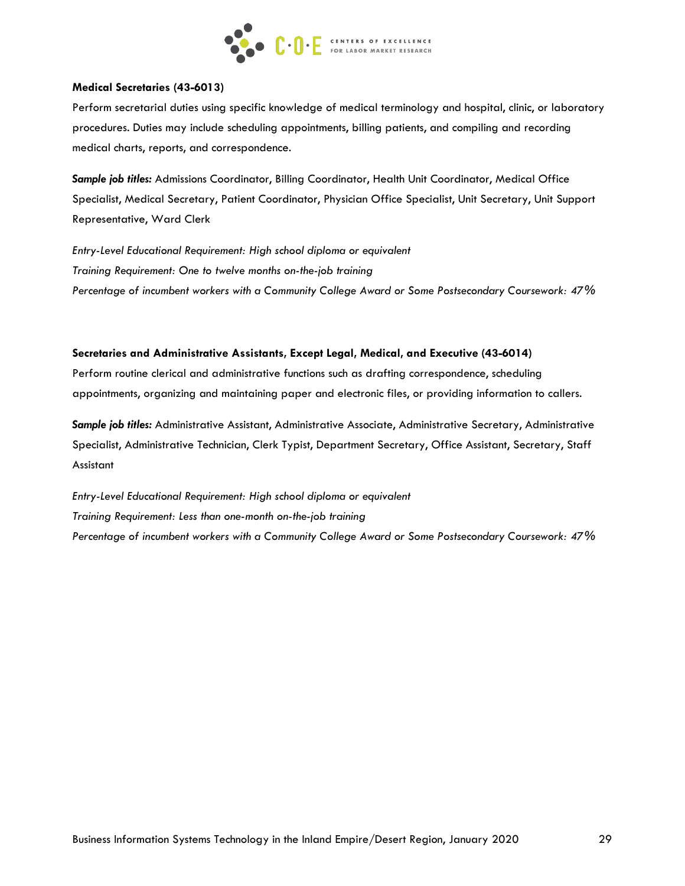

#### **Medical Secretaries (43-6013)**

Perform secretarial duties using specific knowledge of medical terminology and hospital, clinic, or laboratory procedures. Duties may include scheduling appointments, billing patients, and compiling and recording medical charts, reports, and correspondence.

*Sample job titles:* Admissions Coordinator, Billing Coordinator, Health Unit Coordinator, Medical Office Specialist, Medical Secretary, Patient Coordinator, Physician Office Specialist, Unit Secretary, Unit Support Representative, Ward Clerk

*Entry-Level Educational Requirement: High school diploma or equivalent Training Requirement: One to twelve months on-the-job training Percentage of incumbent workers with a Community College Award or Some Postsecondary Coursework: 47%*

#### **Secretaries and Administrative Assistants, Except Legal, Medical, and Executive (43-6014)**

Perform routine clerical and administrative functions such as drafting correspondence, scheduling appointments, organizing and maintaining paper and electronic files, or providing information to callers.

*Sample job titles:* Administrative Assistant, Administrative Associate, Administrative Secretary, Administrative Specialist, Administrative Technician, Clerk Typist, Department Secretary, Office Assistant, Secretary, Staff Assistant

*Entry-Level Educational Requirement: High school diploma or equivalent Training Requirement: Less than one-month on-the-job training Percentage of incumbent workers with a Community College Award or Some Postsecondary Coursework: 47%*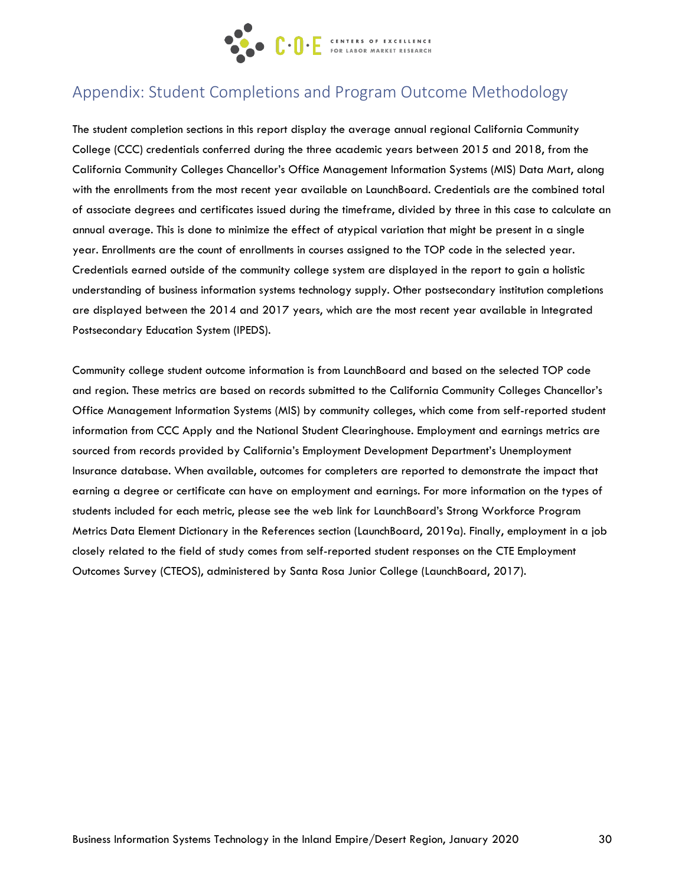

# Appendix: Student Completions and Program Outcome Methodology

The student completion sections in this report display the average annual regional California Community College (CCC) credentials conferred during the three academic years between 2015 and 2018, from the California Community Colleges Chancellor's Office Management Information Systems (MIS) Data Mart, along with the enrollments from the most recent year available on LaunchBoard. Credentials are the combined total of associate degrees and certificates issued during the timeframe, divided by three in this case to calculate an annual average. This is done to minimize the effect of atypical variation that might be present in a single year. Enrollments are the count of enrollments in courses assigned to the TOP code in the selected year. Credentials earned outside of the community college system are displayed in the report to gain a holistic understanding of business information systems technology supply. Other postsecondary institution completions are displayed between the 2014 and 2017 years, which are the most recent year available in Integrated Postsecondary Education System (IPEDS).

Community college student outcome information is from LaunchBoard and based on the selected TOP code and region. These metrics are based on records submitted to the California Community Colleges Chancellor's Office Management Information Systems (MIS) by community colleges, which come from self-reported student information from CCC Apply and the National Student Clearinghouse. Employment and earnings metrics are sourced from records provided by California's Employment Development Department's Unemployment Insurance database. When available, outcomes for completers are reported to demonstrate the impact that earning a degree or certificate can have on employment and earnings. For more information on the types of students included for each metric, please see the web link for LaunchBoard's Strong Workforce Program Metrics Data Element Dictionary in the References section (LaunchBoard, 2019a). Finally, employment in a job closely related to the field of study comes from self-reported student responses on the CTE Employment Outcomes Survey (CTEOS), administered by Santa Rosa Junior College (LaunchBoard, 2017).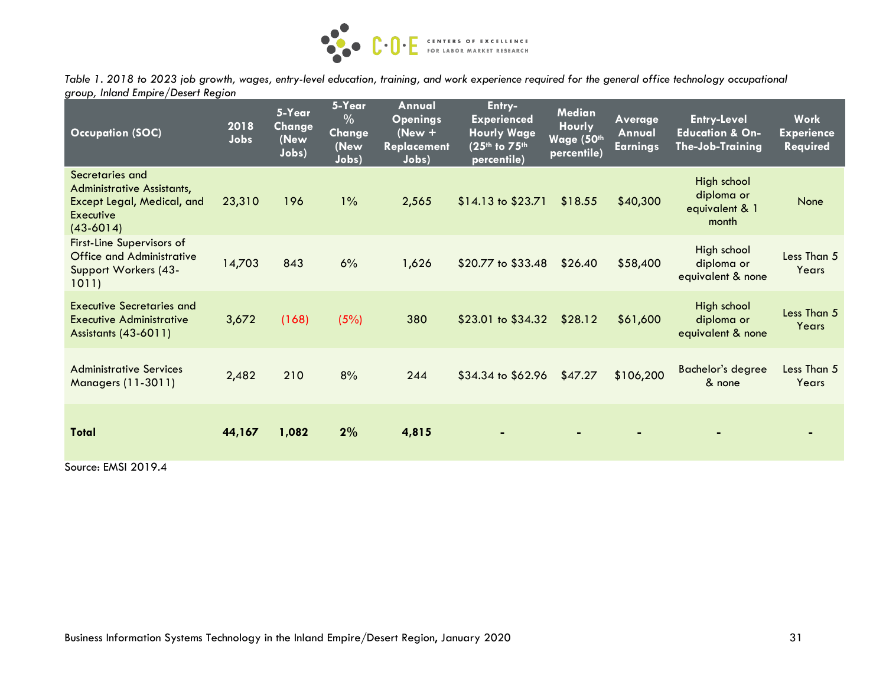

*Table 1. 2018 to 2023 job growth, wages, entry-level education, training, and work experience required for the general office technology occupational group, Inland Empire/Desert Region*

| <b>Occupation (SOC)</b>                                                                                        | 2018<br>Jobs | 5-Year<br>Change<br>(New<br>Jobs) | 5-Year<br>%<br><b>Change</b><br>(New<br>Jobs) | Annual<br><b>Openings</b><br>$(New +$<br><b>Replacement</b><br>Jobs) | Entry-<br><b>Experienced</b><br><b>Hourly Wage</b><br>(25th to 75th<br>percentile) | <b>Median</b><br><b>Hourly</b><br>Wage (50th<br>percentile) | Average<br>Annual<br><b>Earnings</b> | <b>Entry-Level</b><br><b>Education &amp; On-</b><br>The-Job-Training | Work<br><b>Experience</b><br><b>Required</b> |
|----------------------------------------------------------------------------------------------------------------|--------------|-----------------------------------|-----------------------------------------------|----------------------------------------------------------------------|------------------------------------------------------------------------------------|-------------------------------------------------------------|--------------------------------------|----------------------------------------------------------------------|----------------------------------------------|
| Secretaries and<br><b>Administrative Assistants,</b><br>Except Legal, Medical, and<br>Executive<br>$(43-6014)$ | 23,310       | 196                               | $1\%$                                         | 2,565                                                                | $$14.13$ to $$23.71$                                                               | \$18.55                                                     | \$40,300                             | High school<br>diploma or<br>equivalent & 1<br>month                 | None                                         |
| <b>First-Line Supervisors of</b><br><b>Office and Administrative</b><br>Support Workers (43-<br>1011)          | 14,703       | 843                               | 6%                                            | 1,626                                                                | \$20.77 to \$33.48                                                                 | \$26.40                                                     | \$58,400                             | High school<br>diploma or<br>equivalent & none                       | Less Than 5<br>Years                         |
| <b>Executive Secretaries and</b><br><b>Executive Administrative</b><br><b>Assistants (43-6011)</b>             | 3,672        | (168)                             | (5%)                                          | 380                                                                  | \$23.01 to \$34.32                                                                 | \$28.12                                                     | \$61,600                             | High school<br>diploma or<br>equivalent & none                       | Less Than 5<br>Years                         |
| <b>Administrative Services</b><br><b>Managers (11-3011)</b>                                                    | 2,482        | 210                               | 8%                                            | 244                                                                  | \$34.34 to \$62.96                                                                 | \$47.27                                                     | \$106,200                            | <b>Bachelor's degree</b><br>& none                                   | Less Than 5<br>Years                         |
| Total                                                                                                          | 44,167       | 1,082                             | 2%                                            | 4,815                                                                |                                                                                    | $\blacksquare$                                              |                                      |                                                                      |                                              |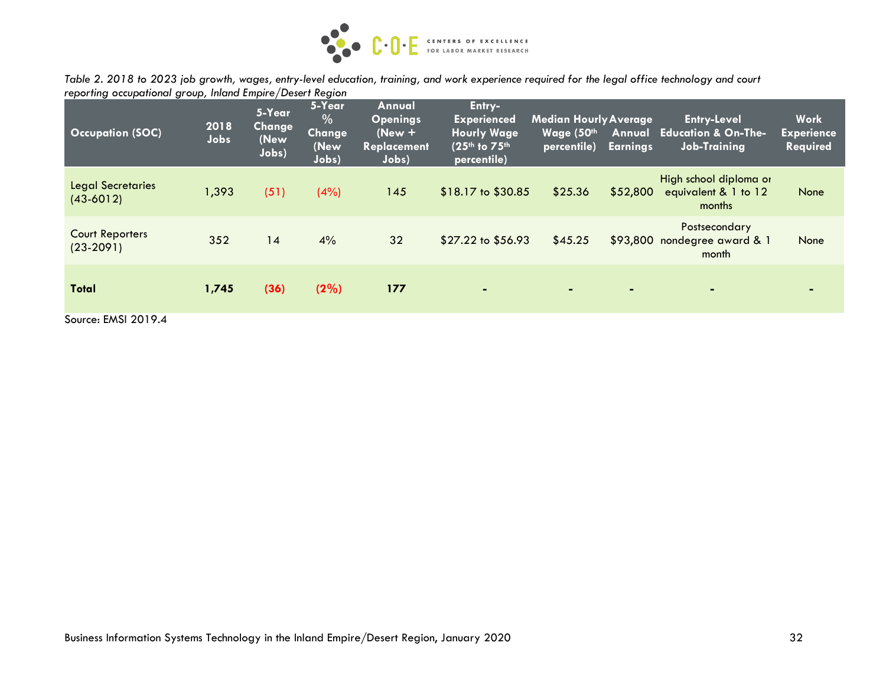

*Table 2. 2018 to 2023 job growth, wages, entry-level education, training, and work experience required for the legal office technology and court reporting occupational group, Inland Empire/Desert Region*

| <b>Occupation (SOC)</b>                 | 2018<br>Jobs | 5-Year<br><b>Change</b><br>(New<br>Jobs) | 5-Year<br>$\overline{\frac{0}{6}}$<br>Change<br>(New<br>Jobs) | Annual<br><b>Openings</b><br>$New +$<br><b>Replacement</b><br>Jobs) | Entry-<br><b>Experienced</b><br><b>Hourly Wage</b><br>(25th to 75th<br>percentile) | <b>Median Hourly Average</b><br>Wage (50th<br>percentile) | Annual<br><b>Earnings</b> | <b>Entry-Level</b><br><b>Education &amp; On-The-</b><br><b>Job-Training</b> | <b>Work</b><br><b>Experience</b><br>Required |
|-----------------------------------------|--------------|------------------------------------------|---------------------------------------------------------------|---------------------------------------------------------------------|------------------------------------------------------------------------------------|-----------------------------------------------------------|---------------------------|-----------------------------------------------------------------------------|----------------------------------------------|
| <b>Legal Secretaries</b><br>$(43-6012)$ | 1,393        | (51)                                     | (4%)                                                          | 145                                                                 | $$18.17$ to $$30.85$                                                               | \$25.36                                                   | \$52,800                  | High school diploma or<br>equivalent & 1 to 12<br>months                    | None                                         |
| <b>Court Reporters</b><br>$(23-2091)$   | 352          | 14                                       | 4%                                                            | 32                                                                  | \$27.22 to \$56.93                                                                 | \$45.25                                                   |                           | Postsecondary<br>\$93,800 nondegree award & 1<br>month                      | None                                         |
| <b>Total</b>                            | 1,745        | (36)                                     | (2%)                                                          | 177                                                                 | $\blacksquare$                                                                     | $\blacksquare$                                            | $\blacksquare$            | ٠                                                                           |                                              |